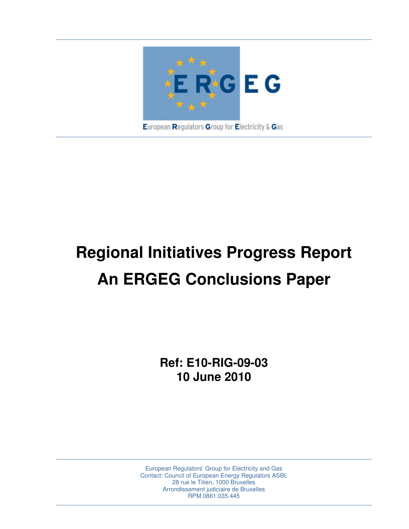

# **Regional Initiatives Progress Report An ERGEG Conclusions Paper**

**Ref: E10-RIG-09-03 10 June 2010** 

European Regulators' Group for Electricity and Gas Contact: Council of European Energy Regulators ASBL 28 rue le Titien, 1000 Bruxelles Arrondissement judiciaire de Bruxelles RPM 0861.035.445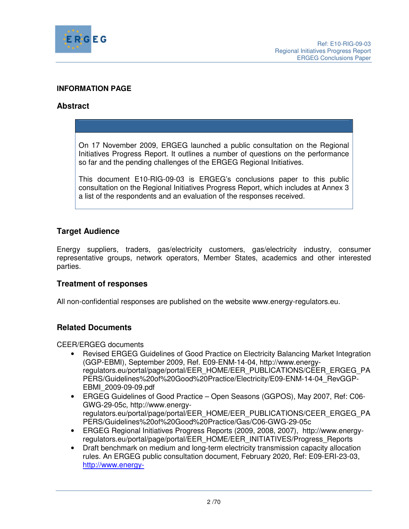

## **INFORMATION PAGE**

## **Abstract**

On 17 November 2009, ERGEG launched a public consultation on the Regional Initiatives Progress Report. It outlines a number of questions on the performance so far and the pending challenges of the ERGEG Regional Initiatives.

This document E10-RIG-09-03 is ERGEG's conclusions paper to this public consultation on the Regional Initiatives Progress Report, which includes at Annex 3 a list of the respondents and an evaluation of the responses received.

## **Target Audience**

Energy suppliers, traders, gas/electricity customers, gas/electricity industry, consumer representative groups, network operators, Member States, academics and other interested parties.

## **Treatment of responses**

All non-confidential responses are published on the website www.energy-regulators.eu.

# **Related Documents**

CEER/ERGEG documents

- Revised ERGEG Guidelines of Good Practice on Electricity Balancing Market Integration (GGP-EBMI), September 2009, Ref. E09-ENM-14-04, http://www.energyregulators.eu/portal/page/portal/EER\_HOME/EER\_PUBLICATIONS/CEER\_ERGEG\_PA PERS/Guidelines%20of%20Good%20Practice/Electricity/E09-ENM-14-04\_RevGGP-EBMI\_2009-09-09.pdf
- ERGEG Guidelines of Good Practice Open Seasons (GGPOS), May 2007, Ref: C06- GWG-29-05c, http://www.energyregulators.eu/portal/page/portal/EER\_HOME/EER\_PUBLICATIONS/CEER\_ERGEG\_PA PERS/Guidelines%20of%20Good%20Practice/Gas/C06-GWG-29-05c
- ERGEG Regional Initiatives Progress Reports (2009, 2008, 2007), http://www.energyregulators.eu/portal/page/portal/EER\_HOME/EER\_INITIATIVES/Progress\_Reports
- Draft benchmark on medium and long-term electricity transmission capacity allocation rules. An ERGEG public consultation document, February 2020, Ref: E09-ERI-23-03, http://www.energy-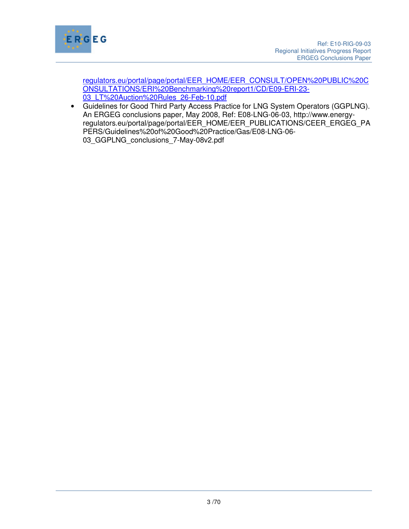

regulators.eu/portal/page/portal/EER\_HOME/EER\_CONSULT/OPEN%20PUBLIC%20C ONSULTATIONS/ERI%20Benchmarking%20report1/CD/E09-ERI-23- 03\_LT%20Auction%20Rules\_26-Feb-10.pdf

• Guidelines for Good Third Party Access Practice for LNG System Operators (GGPLNG). An ERGEG conclusions paper, May 2008, Ref: E08-LNG-06-03, http://www.energyregulators.eu/portal/page/portal/EER\_HOME/EER\_PUBLICATIONS/CEER\_ERGEG\_PA PERS/Guidelines%20of%20Good%20Practice/Gas/E08-LNG-06- 03 GGPLNG conclusions 7-May-08v2.pdf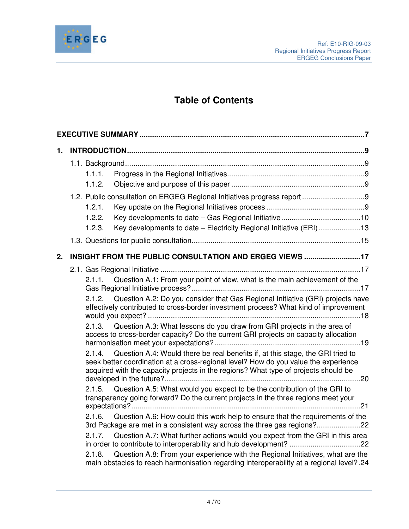

# **Table of Contents**

| 1. |                                                                                                                                                                                                                                                                       |  |
|----|-----------------------------------------------------------------------------------------------------------------------------------------------------------------------------------------------------------------------------------------------------------------------|--|
|    |                                                                                                                                                                                                                                                                       |  |
|    | 1.1.1.                                                                                                                                                                                                                                                                |  |
|    | 1.1.2.                                                                                                                                                                                                                                                                |  |
|    |                                                                                                                                                                                                                                                                       |  |
|    | 1.2.1.                                                                                                                                                                                                                                                                |  |
|    | 1.2.2.                                                                                                                                                                                                                                                                |  |
|    | Key developments to date - Electricity Regional Initiative (ERI) 13<br>1.2.3.                                                                                                                                                                                         |  |
|    |                                                                                                                                                                                                                                                                       |  |
| 2. | INSIGHT FROM THE PUBLIC CONSULTATION AND ERGEG VIEWS 17                                                                                                                                                                                                               |  |
|    |                                                                                                                                                                                                                                                                       |  |
|    | Question A.1: From your point of view, what is the main achievement of the<br>2.1.1.                                                                                                                                                                                  |  |
|    | Question A.2: Do you consider that Gas Regional Initiative (GRI) projects have<br>2.1.2.<br>effectively contributed to cross-border investment process? What kind of improvement                                                                                      |  |
|    | 2.1.3. Question A.3: What lessons do you draw from GRI projects in the area of<br>access to cross-border capacity? Do the current GRI projects on capacity allocation                                                                                                 |  |
|    | Question A.4: Would there be real benefits if, at this stage, the GRI tried to<br>2.1.4<br>seek better coordination at a cross-regional level? How do you value the experience<br>acquired with the capacity projects in the regions? What type of projects should be |  |
|    | Question A.5: What would you expect to be the contribution of the GRI to<br>2.1.5.<br>transparency going forward? Do the current projects in the three regions meet your                                                                                              |  |
|    | Question A.6: How could this work help to ensure that the requirements of the<br>2.1.6.<br>3rd Package are met in a consistent way across the three gas regions?                                                                                                      |  |
|    | Question A.7: What further actions would you expect from the GRI in this area<br>2.1.7.                                                                                                                                                                               |  |
|    | Question A.8: From your experience with the Regional Initiatives, what are the<br>2.1.8.<br>main obstacles to reach harmonisation regarding interoperability at a regional level?.24                                                                                  |  |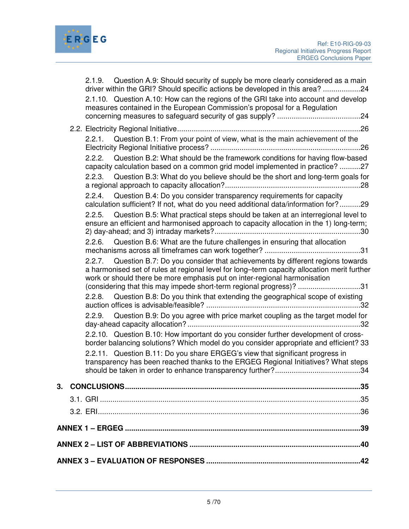

|                                                                | 2.1.9. Question A.9: Should security of supply be more clearly considered as a main<br>driver within the GRI? Should specific actions be developed in this area? 24                                                                                                                                                                       |  |  |  |
|----------------------------------------------------------------|-------------------------------------------------------------------------------------------------------------------------------------------------------------------------------------------------------------------------------------------------------------------------------------------------------------------------------------------|--|--|--|
|                                                                | 2.1.10. Question A.10: How can the regions of the GRI take into account and develop<br>measures contained in the European Commission's proposal for a Regulation                                                                                                                                                                          |  |  |  |
|                                                                |                                                                                                                                                                                                                                                                                                                                           |  |  |  |
|                                                                | 2.2.1. Question B.1: From your point of view, what is the main achievement of the                                                                                                                                                                                                                                                         |  |  |  |
|                                                                | 2.2.2. Question B.2: What should be the framework conditions for having flow-based<br>capacity calculation based on a common grid model implemented in practice? 27                                                                                                                                                                       |  |  |  |
|                                                                | 2.2.3. Question B.3: What do you believe should be the short and long-term goals for                                                                                                                                                                                                                                                      |  |  |  |
|                                                                | 2.2.4. Question B.4: Do you consider transparency requirements for capacity<br>calculation sufficient? If not, what do you need additional data/information for?29                                                                                                                                                                        |  |  |  |
|                                                                | 2.2.5. Question B.5: What practical steps should be taken at an interregional level to<br>ensure an efficient and harmonised approach to capacity allocation in the 1) long-term;                                                                                                                                                         |  |  |  |
|                                                                | 2.2.6. Question B.6: What are the future challenges in ensuring that allocation                                                                                                                                                                                                                                                           |  |  |  |
|                                                                | Question B.7: Do you consider that achievements by different regions towards<br>2.2.7.<br>a harmonised set of rules at regional level for long-term capacity allocation merit further<br>work or should there be more emphasis put on inter-regional harmonisation<br>(considering that this may impede short-term regional progress)? 31 |  |  |  |
|                                                                | 2.2.8. Question B.8: Do you think that extending the geographical scope of existing                                                                                                                                                                                                                                                       |  |  |  |
|                                                                | 2.2.9. Question B.9: Do you agree with price market coupling as the target model for                                                                                                                                                                                                                                                      |  |  |  |
|                                                                | 2.2.10. Question B.10: How important do you consider further development of cross-<br>border balancing solutions? Which model do you consider appropriate and efficient? 33                                                                                                                                                               |  |  |  |
|                                                                | 2.2.11. Question B.11: Do you share ERGEG's view that significant progress in<br>transparency has been reached thanks to the ERGEG Regional Initiatives? What steps                                                                                                                                                                       |  |  |  |
|                                                                |                                                                                                                                                                                                                                                                                                                                           |  |  |  |
|                                                                |                                                                                                                                                                                                                                                                                                                                           |  |  |  |
|                                                                |                                                                                                                                                                                                                                                                                                                                           |  |  |  |
|                                                                |                                                                                                                                                                                                                                                                                                                                           |  |  |  |
| ANNEX 2 - LIST OF ABBREVIATIONS …………………………………………………………………………40 |                                                                                                                                                                                                                                                                                                                                           |  |  |  |
|                                                                | ANNEX 3 - EVALUATION OF RESPONSES ……………………………………………………………………42                                                                                                                                                                                                                                                                            |  |  |  |
|                                                                |                                                                                                                                                                                                                                                                                                                                           |  |  |  |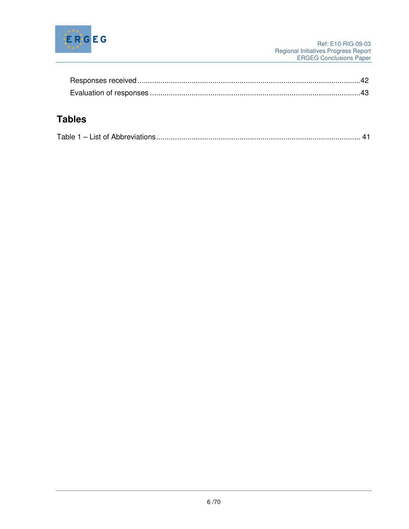

# **Tables**

|--|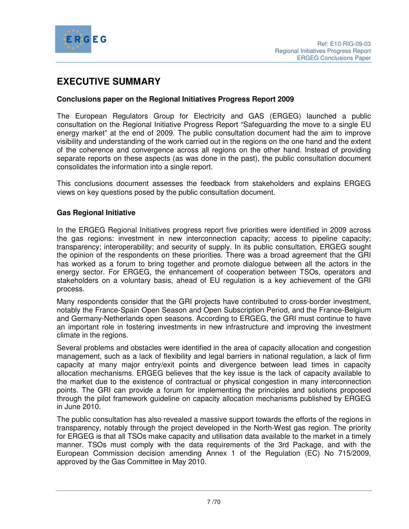

# **EXECUTIVE SUMMARY**

#### **Conclusions paper on the Regional Initiatives Progress Report 2009**

The European Regulators Group for Electricity and GAS (ERGEG) launched a public consultation on the Regional Initiative Progress Report "Safeguarding the move to a single EU energy market" at the end of 2009. The public consultation document had the aim to improve visibility and understanding of the work carried out in the regions on the one hand and the extent of the coherence and convergence across all regions on the other hand. Instead of providing separate reports on these aspects (as was done in the past), the public consultation document consolidates the information into a single report.

This conclusions document assesses the feedback from stakeholders and explains ERGEG views on key questions posed by the public consultation document.

#### **Gas Regional Initiative**

In the ERGEG Regional Initiatives progress report five priorities were identified in 2009 across the gas regions: investment in new interconnection capacity; access to pipeline capacity; transparency; interoperability; and security of supply. In its public consultation, ERGEG sought the opinion of the respondents on these priorities. There was a broad agreement that the GRI has worked as a forum to bring together and promote dialogue between all the actors in the energy sector. For ERGEG, the enhancement of cooperation between TSOs, operators and stakeholders on a voluntary basis, ahead of EU regulation is a key achievement of the GRI process.

Many respondents consider that the GRI projects have contributed to cross-border investment, notably the France-Spain Open Season and Open Subscription Period, and the France-Belgium and Germany-Netherlands open seasons. According to ERGEG, the GRI must continue to have an important role in fostering investments in new infrastructure and improving the investment climate in the regions.

Several problems and obstacles were identified in the area of capacity allocation and congestion management, such as a lack of flexibility and legal barriers in national regulation, a lack of firm capacity at many major entry/exit points and divergence between lead times in capacity allocation mechanisms. ERGEG believes that the key issue is the lack of capacity available to the market due to the existence of contractual or physical congestion in many interconnection points. The GRI can provide a forum for implementing the principles and solutions proposed through the pilot framework guideline on capacity allocation mechanisms published by ERGEG in June 2010.

The public consultation has also revealed a massive support towards the efforts of the regions in transparency, notably through the project developed in the North-West gas region. The priority for ERGEG is that all TSOs make capacity and utilisation data available to the market in a timely manner. TSOs must comply with the data requirements of the 3rd Package, and with the European Commission decision amending Annex 1 of the Regulation (EC) No 715/2009, approved by the Gas Committee in May 2010.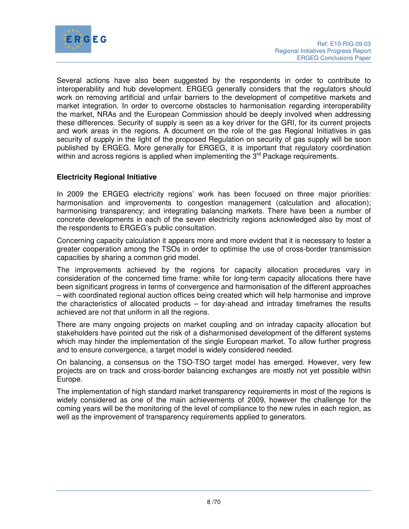

Several actions have also been suggested by the respondents in order to contribute to interoperability and hub development. ERGEG generally considers that the regulators should work on removing artificial and unfair barriers to the development of competitive markets and market integration. In order to overcome obstacles to harmonisation regarding interoperability the market, NRAs and the European Commission should be deeply involved when addressing these differences. Security of supply is seen as a key driver for the GRI, for its current projects and work areas in the regions. A document on the role of the gas Regional Initiatives in gas security of supply in the light of the proposed Regulation on security of gas supply will be soon published by ERGEG. More generally for ERGEG, it is important that regulatory coordination within and across regions is applied when implementing the 3<sup>rd</sup> Package requirements.

## **Electricity Regional Initiative**

In 2009 the ERGEG electricity regions' work has been focused on three major priorities: harmonisation and improvements to congestion management (calculation and allocation); harmonising transparency; and integrating balancing markets. There have been a number of concrete developments in each of the seven electricity regions acknowledged also by most of the respondents to ERGEG's public consultation.

Concerning capacity calculation it appears more and more evident that it is necessary to foster a greater cooperation among the TSOs in order to optimise the use of cross-border transmission capacities by sharing a common grid model.

The improvements achieved by the regions for capacity allocation procedures vary in consideration of the concerned time frame: while for long-term capacity allocations there have been significant progress in terms of convergence and harmonisation of the different approaches – with coordinated regional auction offices being created which will help harmonise and improve the characteristics of allocated products – for day-ahead and intraday timeframes the results achieved are not that uniform in all the regions.

There are many ongoing projects on market coupling and on intraday capacity allocation but stakeholders have pointed out the risk of a disharmonised development of the different systems which may hinder the implementation of the single European market. To allow further progress and to ensure convergence, a target model is widely considered needed.

On balancing, a consensus on the TSO-TSO target model has emerged. However, very few projects are on track and cross-border balancing exchanges are mostly not yet possible within Europe.

The implementation of high standard market transparency requirements in most of the regions is widely considered as one of the main achievements of 2009, however the challenge for the coming years will be the monitoring of the level of compliance to the new rules in each region, as well as the improvement of transparency requirements applied to generators.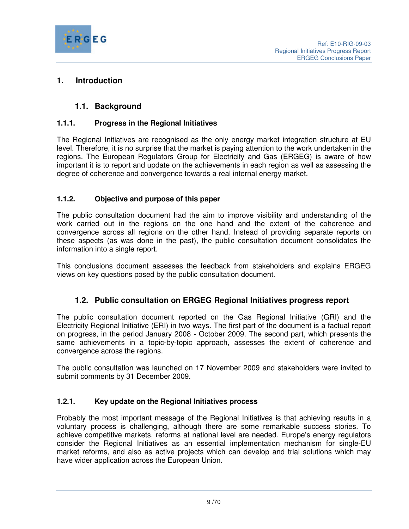

# **1. Introduction**

# **1.1. Background**

# **1.1.1. Progress in the Regional Initiatives**

The Regional Initiatives are recognised as the only energy market integration structure at EU level. Therefore, it is no surprise that the market is paying attention to the work undertaken in the regions. The European Regulators Group for Electricity and Gas (ERGEG) is aware of how important it is to report and update on the achievements in each region as well as assessing the degree of coherence and convergence towards a real internal energy market.

## **1.1.2. Objective and purpose of this paper**

The public consultation document had the aim to improve visibility and understanding of the work carried out in the regions on the one hand and the extent of the coherence and convergence across all regions on the other hand. Instead of providing separate reports on these aspects (as was done in the past), the public consultation document consolidates the information into a single report.

This conclusions document assesses the feedback from stakeholders and explains ERGEG views on key questions posed by the public consultation document.

# **1.2. Public consultation on ERGEG Regional Initiatives progress report**

The public consultation document reported on the Gas Regional Initiative (GRI) and the Electricity Regional Initiative (ERI) in two ways. The first part of the document is a factual report on progress, in the period January 2008 - October 2009. The second part, which presents the same achievements in a topic-by-topic approach, assesses the extent of coherence and convergence across the regions.

The public consultation was launched on 17 November 2009 and stakeholders were invited to submit comments by 31 December 2009.

## **1.2.1. Key update on the Regional Initiatives process**

Probably the most important message of the Regional Initiatives is that achieving results in a voluntary process is challenging, although there are some remarkable success stories. To achieve competitive markets, reforms at national level are needed. Europe's energy regulators consider the Regional Initiatives as an essential implementation mechanism for single-EU market reforms, and also as active projects which can develop and trial solutions which may have wider application across the European Union.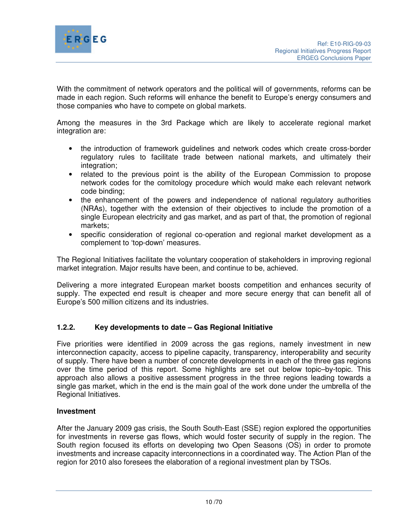

With the commitment of network operators and the political will of governments, reforms can be made in each region. Such reforms will enhance the benefit to Europe's energy consumers and those companies who have to compete on global markets.

Among the measures in the 3rd Package which are likely to accelerate regional market integration are:

- the introduction of framework guidelines and network codes which create cross-border regulatory rules to facilitate trade between national markets, and ultimately their integration;
- related to the previous point is the ability of the European Commission to propose network codes for the comitology procedure which would make each relevant network code binding;
- the enhancement of the powers and independence of national regulatory authorities (NRAs), together with the extension of their objectives to include the promotion of a single European electricity and gas market, and as part of that, the promotion of regional markets;
- specific consideration of regional co-operation and regional market development as a complement to 'top-down' measures.

The Regional Initiatives facilitate the voluntary cooperation of stakeholders in improving regional market integration. Major results have been, and continue to be, achieved.

Delivering a more integrated European market boosts competition and enhances security of supply. The expected end result is cheaper and more secure energy that can benefit all of Europe's 500 million citizens and its industries.

## **1.2.2. Key developments to date – Gas Regional Initiative**

Five priorities were identified in 2009 across the gas regions, namely investment in new interconnection capacity, access to pipeline capacity, transparency, interoperability and security of supply. There have been a number of concrete developments in each of the three gas regions over the time period of this report. Some highlights are set out below topic–by-topic. This approach also allows a positive assessment progress in the three regions leading towards a single gas market, which in the end is the main goal of the work done under the umbrella of the Regional Initiatives.

## **Investment**

After the January 2009 gas crisis, the South South-East (SSE) region explored the opportunities for investments in reverse gas flows, which would foster security of supply in the region. The South region focused its efforts on developing two Open Seasons (OS) in order to promote investments and increase capacity interconnections in a coordinated way. The Action Plan of the region for 2010 also foresees the elaboration of a regional investment plan by TSOs.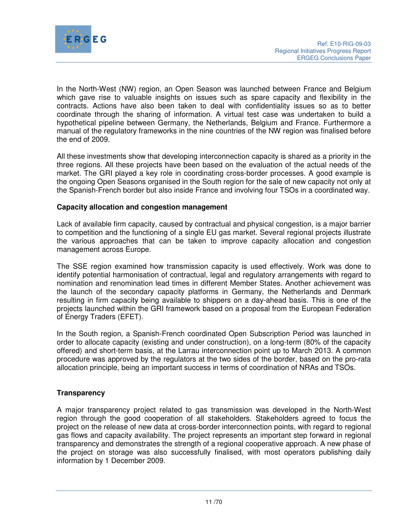

In the North-West (NW) region, an Open Season was launched between France and Belgium which gave rise to valuable insights on issues such as spare capacity and flexibility in the contracts. Actions have also been taken to deal with confidentiality issues so as to better coordinate through the sharing of information. A virtual test case was undertaken to build a hypothetical pipeline between Germany, the Netherlands, Belgium and France. Furthermore a manual of the regulatory frameworks in the nine countries of the NW region was finalised before the end of 2009.

All these investments show that developing interconnection capacity is shared as a priority in the three regions. All these projects have been based on the evaluation of the actual needs of the market. The GRI played a key role in coordinating cross-border processes. A good example is the ongoing Open Seasons organised in the South region for the sale of new capacity not only at the Spanish-French border but also inside France and involving four TSOs in a coordinated way.

#### **Capacity allocation and congestion management**

Lack of available firm capacity, caused by contractual and physical congestion, is a major barrier to competition and the functioning of a single EU gas market. Several regional projects illustrate the various approaches that can be taken to improve capacity allocation and congestion management across Europe.

The SSE region examined how transmission capacity is used effectively. Work was done to identify potential harmonisation of contractual, legal and regulatory arrangements with regard to nomination and renomination lead times in different Member States. Another achievement was the launch of the secondary capacity platforms in Germany, the Netherlands and Denmark resulting in firm capacity being available to shippers on a day-ahead basis. This is one of the projects launched within the GRI framework based on a proposal from the European Federation of Energy Traders (EFET).

In the South region, a Spanish-French coordinated Open Subscription Period was launched in order to allocate capacity (existing and under construction), on a long-term (80% of the capacity offered) and short-term basis, at the Larrau interconnection point up to March 2013. A common procedure was approved by the regulators at the two sides of the border, based on the pro-rata allocation principle, being an important success in terms of coordination of NRAs and TSOs.

## **Transparency**

A major transparency project related to gas transmission was developed in the North-West region through the good cooperation of all stakeholders. Stakeholders agreed to focus the project on the release of new data at cross-border interconnection points, with regard to regional gas flows and capacity availability. The project represents an important step forward in regional transparency and demonstrates the strength of a regional cooperative approach. A new phase of the project on storage was also successfully finalised, with most operators publishing daily information by 1 December 2009.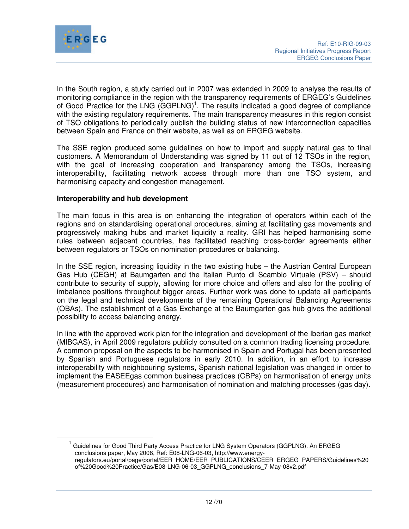

 $\overline{a}$ 

In the South region, a study carried out in 2007 was extended in 2009 to analyse the results of monitoring compliance in the region with the transparency requirements of ERGEG's Guidelines of Good Practice for the LNG (GGPLNG)<sup>1</sup>. The results indicated a good degree of compliance with the existing regulatory requirements. The main transparency measures in this region consist of TSO obligations to periodically publish the building status of new interconnection capacities between Spain and France on their website, as well as on ERGEG website.

The SSE region produced some guidelines on how to import and supply natural gas to final customers. A Memorandum of Understanding was signed by 11 out of 12 TSOs in the region, with the goal of increasing cooperation and transparency among the TSOs, increasing interoperability, facilitating network access through more than one TSO system, and harmonising capacity and congestion management.

#### **Interoperability and hub development**

The main focus in this area is on enhancing the integration of operators within each of the regions and on standardising operational procedures, aiming at facilitating gas movements and progressively making hubs and market liquidity a reality. GRI has helped harmonising some rules between adjacent countries, has facilitated reaching cross-border agreements either between regulators or TSOs on nomination procedures or balancing.

In the SSE region, increasing liquidity in the two existing hubs – the Austrian Central European Gas Hub (CEGH) at Baumgarten and the Italian Punto di Scambio Virtuale (PSV) – should contribute to security of supply, allowing for more choice and offers and also for the pooling of imbalance positions throughout bigger areas. Further work was done to update all participants on the legal and technical developments of the remaining Operational Balancing Agreements (OBAs). The establishment of a Gas Exchange at the Baumgarten gas hub gives the additional possibility to access balancing energy.

In line with the approved work plan for the integration and development of the Iberian gas market (MIBGAS), in April 2009 regulators publicly consulted on a common trading licensing procedure. A common proposal on the aspects to be harmonised in Spain and Portugal has been presented by Spanish and Portuguese regulators in early 2010. In addition, in an effort to increase interoperability with neighbouring systems, Spanish national legislation was changed in order to implement the EASEEgas common business practices (CBPs) on harmonisation of energy units (measurement procedures) and harmonisation of nomination and matching processes (gas day).

<sup>1</sup> Guidelines for Good Third Party Access Practice for LNG System Operators (GGPLNG). An ERGEG conclusions paper, May 2008, Ref: E08-LNG-06-03, http://www.energyregulators.eu/portal/page/portal/EER\_HOME/EER\_PUBLICATIONS/CEER\_ERGEG\_PAPERS/Guidelines%20 of%20Good%20Practice/Gas/E08-LNG-06-03\_GGPLNG\_conclusions\_7-May-08v2.pdf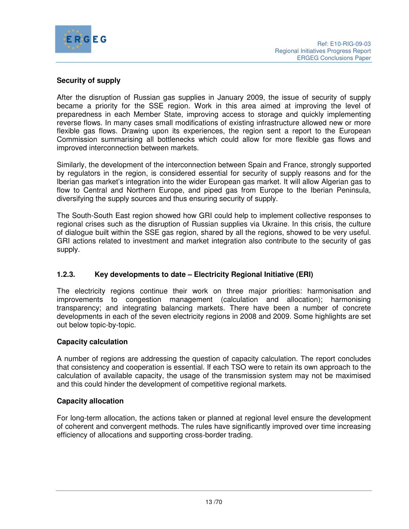

## **Security of supply**

After the disruption of Russian gas supplies in January 2009, the issue of security of supply became a priority for the SSE region. Work in this area aimed at improving the level of preparedness in each Member State, improving access to storage and quickly implementing reverse flows. In many cases small modifications of existing infrastructure allowed new or more flexible gas flows. Drawing upon its experiences, the region sent a report to the European Commission summarising all bottlenecks which could allow for more flexible gas flows and improved interconnection between markets.

Similarly, the development of the interconnection between Spain and France, strongly supported by regulators in the region, is considered essential for security of supply reasons and for the Iberian gas market's integration into the wider European gas market. It will allow Algerian gas to flow to Central and Northern Europe, and piped gas from Europe to the Iberian Peninsula, diversifying the supply sources and thus ensuring security of supply.

The South-South East region showed how GRI could help to implement collective responses to regional crises such as the disruption of Russian supplies via Ukraine. In this crisis, the culture of dialogue built within the SSE gas region, shared by all the regions, showed to be very useful. GRI actions related to investment and market integration also contribute to the security of gas supply.

## **1.2.3. Key developments to date – Electricity Regional Initiative (ERI)**

The electricity regions continue their work on three major priorities: harmonisation and improvements to congestion management (calculation and allocation); harmonising transparency; and integrating balancing markets. There have been a number of concrete developments in each of the seven electricity regions in 2008 and 2009. Some highlights are set out below topic-by-topic.

## **Capacity calculation**

A number of regions are addressing the question of capacity calculation. The report concludes that consistency and cooperation is essential. If each TSO were to retain its own approach to the calculation of available capacity, the usage of the transmission system may not be maximised and this could hinder the development of competitive regional markets.

## **Capacity allocation**

For long-term allocation, the actions taken or planned at regional level ensure the development of coherent and convergent methods. The rules have significantly improved over time increasing efficiency of allocations and supporting cross-border trading.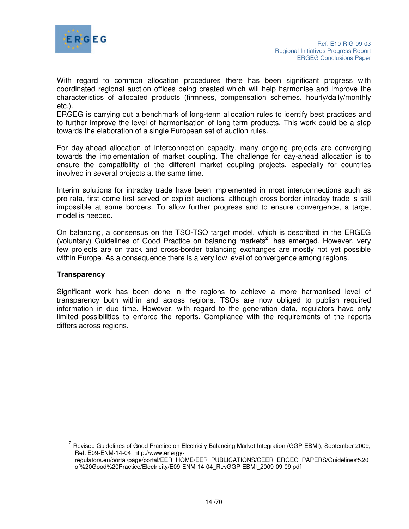

With regard to common allocation procedures there has been significant progress with coordinated regional auction offices being created which will help harmonise and improve the characteristics of allocated products (firmness, compensation schemes, hourly/daily/monthly etc.).

ERGEG is carrying out a benchmark of long-term allocation rules to identify best practices and to further improve the level of harmonisation of long-term products. This work could be a step towards the elaboration of a single European set of auction rules.

For day-ahead allocation of interconnection capacity, many ongoing projects are converging towards the implementation of market coupling. The challenge for day-ahead allocation is to ensure the compatibility of the different market coupling projects, especially for countries involved in several projects at the same time.

Interim solutions for intraday trade have been implemented in most interconnections such as pro-rata, first come first served or explicit auctions, although cross-border intraday trade is still impossible at some borders. To allow further progress and to ensure convergence, a target model is needed.

On balancing, a consensus on the TSO-TSO target model, which is described in the ERGEG (voluntary) Guidelines of Good Practice on balancing markets<sup>2</sup>, has emerged. However, very few projects are on track and cross-border balancing exchanges are mostly not yet possible within Europe. As a consequence there is a very low level of convergence among regions.

## **Transparency**

 $\overline{a}$ 

Significant work has been done in the regions to achieve a more harmonised level of transparency both within and across regions. TSOs are now obliged to publish required information in due time. However, with regard to the generation data, regulators have only limited possibilities to enforce the reports. Compliance with the requirements of the reports differs across regions.

<sup>2</sup> Revised Guidelines of Good Practice on Electricity Balancing Market Integration (GGP-EBMI), September 2009, Ref: E09-ENM-14-04, http://www.energy-

regulators.eu/portal/page/portal/EER\_HOME/EER\_PUBLICATIONS/CEER\_ERGEG\_PAPERS/Guidelines%20 of%20Good%20Practice/Electricity/E09-ENM-14-04\_RevGGP-EBMI\_2009-09-09.pdf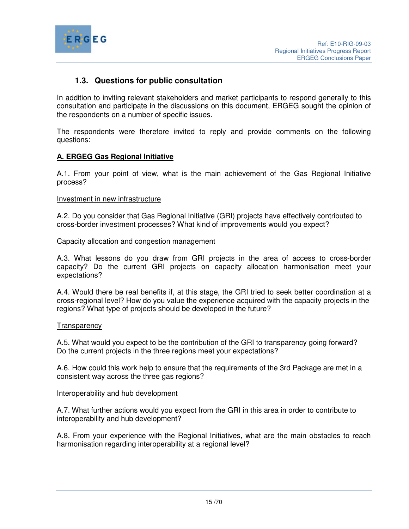

# **1.3. Questions for public consultation**

In addition to inviting relevant stakeholders and market participants to respond generally to this consultation and participate in the discussions on this document, ERGEG sought the opinion of the respondents on a number of specific issues.

The respondents were therefore invited to reply and provide comments on the following questions:

## **A. ERGEG Gas Regional Initiative**

A.1. From your point of view, what is the main achievement of the Gas Regional Initiative process?

#### Investment in new infrastructure

A.2. Do you consider that Gas Regional Initiative (GRI) projects have effectively contributed to cross-border investment processes? What kind of improvements would you expect?

#### Capacity allocation and congestion management

A.3. What lessons do you draw from GRI projects in the area of access to cross-border capacity? Do the current GRI projects on capacity allocation harmonisation meet your expectations?

A.4. Would there be real benefits if, at this stage, the GRI tried to seek better coordination at a cross-regional level? How do you value the experience acquired with the capacity projects in the regions? What type of projects should be developed in the future?

#### **Transparency**

A.5. What would you expect to be the contribution of the GRI to transparency going forward? Do the current projects in the three regions meet your expectations?

A.6. How could this work help to ensure that the requirements of the 3rd Package are met in a consistent way across the three gas regions?

#### Interoperability and hub development

A.7. What further actions would you expect from the GRI in this area in order to contribute to interoperability and hub development?

A.8. From your experience with the Regional Initiatives, what are the main obstacles to reach harmonisation regarding interoperability at a regional level?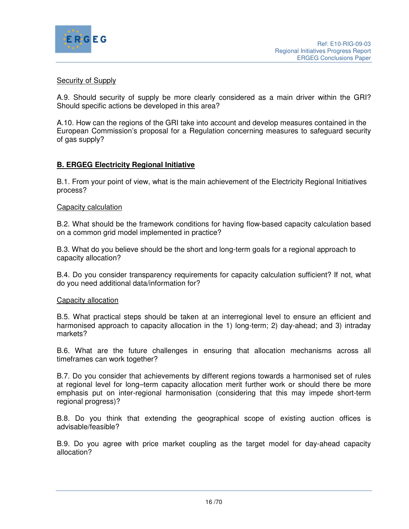

#### Security of Supply

A.9. Should security of supply be more clearly considered as a main driver within the GRI? Should specific actions be developed in this area?

A.10. How can the regions of the GRI take into account and develop measures contained in the European Commission's proposal for a Regulation concerning measures to safeguard security of gas supply?

#### **B. ERGEG Electricity Regional Initiative**

B.1. From your point of view, what is the main achievement of the Electricity Regional Initiatives process?

#### Capacity calculation

B.2. What should be the framework conditions for having flow-based capacity calculation based on a common grid model implemented in practice?

B.3. What do you believe should be the short and long-term goals for a regional approach to capacity allocation?

B.4. Do you consider transparency requirements for capacity calculation sufficient? If not, what do you need additional data/information for?

#### Capacity allocation

B.5. What practical steps should be taken at an interregional level to ensure an efficient and harmonised approach to capacity allocation in the 1) long-term; 2) day-ahead; and 3) intraday markets?

B.6. What are the future challenges in ensuring that allocation mechanisms across all timeframes can work together?

B.7. Do you consider that achievements by different regions towards a harmonised set of rules at regional level for long–term capacity allocation merit further work or should there be more emphasis put on inter-regional harmonisation (considering that this may impede short-term regional progress)?

B.8. Do you think that extending the geographical scope of existing auction offices is advisable/feasible?

B.9. Do you agree with price market coupling as the target model for day-ahead capacity allocation?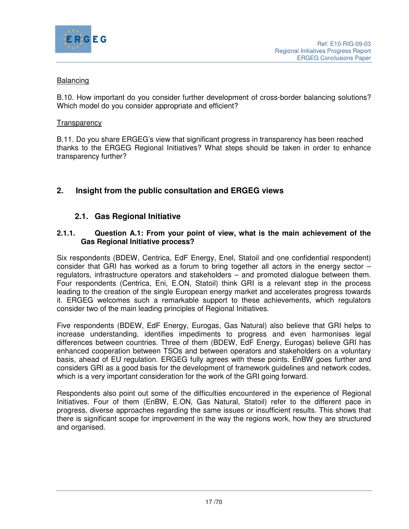

## Balancing

B.10. How important do you consider further development of cross-border balancing solutions? Which model do you consider appropriate and efficient?

#### **Transparency**

B.11. Do you share ERGEG's view that significant progress in transparency has been reached thanks to the ERGEG Regional Initiatives? What steps should be taken in order to enhance transparency further?

# **2. Insight from the public consultation and ERGEG views**

# **2.1. Gas Regional Initiative**

#### **2.1.1. Question A.1: From your point of view, what is the main achievement of the Gas Regional Initiative process?**

Six respondents (BDEW, Centrica, EdF Energy, Enel, Statoil and one confidential respondent) consider that GRI has worked as a forum to bring together all actors in the energy sector – regulators, infrastructure operators and stakeholders – and promoted dialogue between them. Four respondents (Centrica, Eni, E.ON, Statoil) think GRI is a relevant step in the process leading to the creation of the single European energy market and accelerates progress towards it. ERGEG welcomes such a remarkable support to these achievements, which regulators consider two of the main leading principles of Regional Initiatives.

Five respondents (BDEW, EdF Energy, Eurogas, Gas Natural) also believe that GRI helps to increase understanding, identifies impediments to progress and even harmonises legal differences between countries. Three of them (BDEW, EdF Energy, Eurogas) believe GRI has enhanced cooperation between TSOs and between operators and stakeholders on a voluntary basis, ahead of EU regulation. ERGEG fully agrees with these points. EnBW goes further and considers GRI as a good basis for the development of framework guidelines and network codes, which is a very important consideration for the work of the GRI going forward.

Respondents also point out some of the difficulties encountered in the experience of Regional Initiatives. Four of them (EnBW, E.ON, Gas Natural, Statoil) refer to the different pace in progress, diverse approaches regarding the same issues or insufficient results. This shows that there is significant scope for improvement in the way the regions work, how they are structured and organised.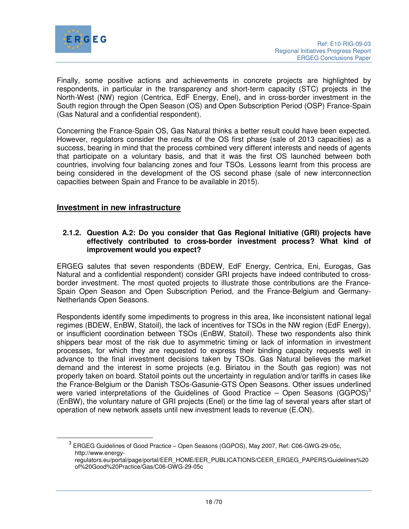

 $\overline{a}$ 

Finally, some positive actions and achievements in concrete projects are highlighted by respondents, in particular in the transparency and short-term capacity (STC) projects in the North-West (NW) region (Centrica, EdF Energy, Enel), and in cross-border investment in the South region through the Open Season (OS) and Open Subscription Period (OSP) France-Spain (Gas Natural and a confidential respondent).

Concerning the France-Spain OS, Gas Natural thinks a better result could have been expected. However, regulators consider the results of the OS first phase (sale of 2013 capacities) as a success, bearing in mind that the process combined very different interests and needs of agents that participate on a voluntary basis, and that it was the first OS launched between both countries, involving four balancing zones and four TSOs. Lessons learnt from this process are being considered in the development of the OS second phase (sale of new interconnection capacities between Spain and France to be available in 2015).

## **Investment in new infrastructure**

#### **2.1.2. Question A.2: Do you consider that Gas Regional Initiative (GRI) projects have effectively contributed to cross-border investment process? What kind of improvement would you expect?**

ERGEG salutes that seven respondents (BDEW, EdF Energy, Centrica, Eni, Eurogas, Gas Natural and a confidential respondent) consider GRI projects have indeed contributed to crossborder investment. The most quoted projects to illustrate those contributions are the France-Spain Open Season and Open Subscription Period, and the France-Belgium and Germany-Netherlands Open Seasons.

Respondents identify some impediments to progress in this area, like inconsistent national legal regimes (BDEW, EnBW, Statoil), the lack of incentives for TSOs in the NW region (EdF Energy), or insufficient coordination between TSOs (EnBW, Statoil). These two respondents also think shippers bear most of the risk due to asymmetric timing or lack of information in investment processes, for which they are requested to express their binding capacity requests well in advance to the final investment decisions taken by TSOs. Gas Natural believes the market demand and the interest in some projects (e.g. Biriatou in the South gas region) was not properly taken on board. Statoil points out the uncertainty in regulation and/or tariffs in cases like the France-Belgium or the Danish TSOs-Gasunie-GTS Open Seasons. Other issues underlined were varied interpretations of the Guidelines of Good Practice – Open Seasons (GGPOS)<sup>3</sup> (EnBW), the voluntary nature of GRI projects (Enel) or the time lag of several years after start of operation of new network assets until new investment leads to revenue (E.ON).

<sup>3</sup> ERGEG Guidelines of Good Practice – Open Seasons (GGPOS), May 2007, Ref: C06-GWG-29-05c, http://www.energy-

regulators.eu/portal/page/portal/EER\_HOME/EER\_PUBLICATIONS/CEER\_ERGEG\_PAPERS/Guidelines%20 of%20Good%20Practice/Gas/C06-GWG-29-05c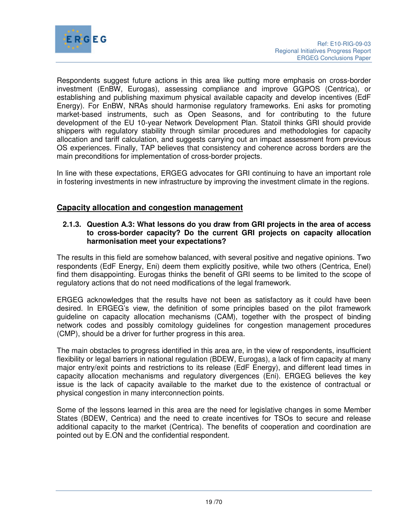

Respondents suggest future actions in this area like putting more emphasis on cross-border investment (EnBW, Eurogas), assessing compliance and improve GGPOS (Centrica), or establishing and publishing maximum physical available capacity and develop incentives (EdF Energy). For EnBW, NRAs should harmonise regulatory frameworks. Eni asks for promoting market-based instruments, such as Open Seasons, and for contributing to the future development of the EU 10-year Network Development Plan. Statoil thinks GRI should provide shippers with regulatory stability through similar procedures and methodologies for capacity allocation and tariff calculation, and suggests carrying out an impact assessment from previous OS experiences. Finally, TAP believes that consistency and coherence across borders are the main preconditions for implementation of cross-border projects.

In line with these expectations, ERGEG advocates for GRI continuing to have an important role in fostering investments in new infrastructure by improving the investment climate in the regions.

## **Capacity allocation and congestion management**

## **2.1.3. Question A.3: What lessons do you draw from GRI projects in the area of access to cross-border capacity? Do the current GRI projects on capacity allocation harmonisation meet your expectations?**

The results in this field are somehow balanced, with several positive and negative opinions. Two respondents (EdF Energy, Eni) deem them explicitly positive, while two others (Centrica, Enel) find them disappointing. Eurogas thinks the benefit of GRI seems to be limited to the scope of regulatory actions that do not need modifications of the legal framework.

ERGEG acknowledges that the results have not been as satisfactory as it could have been desired. In ERGEG's view, the definition of some principles based on the pilot framework guideline on capacity allocation mechanisms (CAM), together with the prospect of binding network codes and possibly comitology guidelines for congestion management procedures (CMP), should be a driver for further progress in this area.

The main obstacles to progress identified in this area are, in the view of respondents, insufficient flexibility or legal barriers in national regulation (BDEW, Eurogas), a lack of firm capacity at many major entry/exit points and restrictions to its release (EdF Energy), and different lead times in capacity allocation mechanisms and regulatory divergences (Eni). ERGEG believes the key issue is the lack of capacity available to the market due to the existence of contractual or physical congestion in many interconnection points.

Some of the lessons learned in this area are the need for legislative changes in some Member States (BDEW, Centrica) and the need to create incentives for TSOs to secure and release additional capacity to the market (Centrica). The benefits of cooperation and coordination are pointed out by E.ON and the confidential respondent.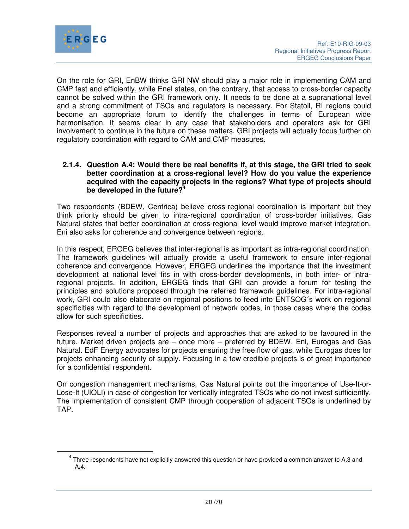

 $\overline{a}$ 

On the role for GRI, EnBW thinks GRI NW should play a major role in implementing CAM and CMP fast and efficiently, while Enel states, on the contrary, that access to cross-border capacity cannot be solved within the GRI framework only. It needs to be done at a supranational level and a strong commitment of TSOs and regulators is necessary. For Statoil, RI regions could become an appropriate forum to identify the challenges in terms of European wide harmonisation. It seems clear in any case that stakeholders and operators ask for GRI involvement to continue in the future on these matters. GRI projects will actually focus further on regulatory coordination with regard to CAM and CMP measures.

#### **2.1.4. Question A.4: Would there be real benefits if, at this stage, the GRI tried to seek better coordination at a cross-regional level? How do you value the experience acquired with the capacity projects in the regions? What type of projects should be developed in the future?<sup>4</sup>**

Two respondents (BDEW, Centrica) believe cross-regional coordination is important but they think priority should be given to intra-regional coordination of cross-border initiatives. Gas Natural states that better coordination at cross-regional level would improve market integration. Eni also asks for coherence and convergence between regions.

In this respect, ERGEG believes that inter-regional is as important as intra-regional coordination. The framework guidelines will actually provide a useful framework to ensure inter-regional coherence and convergence. However, ERGEG underlines the importance that the investment development at national level fits in with cross-border developments, in both inter- or intraregional projects. In addition, ERGEG finds that GRI can provide a forum for testing the principles and solutions proposed through the referred framework guidelines. For intra-regional work, GRI could also elaborate on regional positions to feed into ENTSOG´s work on regional specificities with regard to the development of network codes, in those cases where the codes allow for such specificities.

Responses reveal a number of projects and approaches that are asked to be favoured in the future. Market driven projects are – once more – preferred by BDEW, Eni, Eurogas and Gas Natural. EdF Energy advocates for projects ensuring the free flow of gas, while Eurogas does for projects enhancing security of supply. Focusing in a few credible projects is of great importance for a confidential respondent.

On congestion management mechanisms, Gas Natural points out the importance of Use-It-or-Lose-It (UIOLI) in case of congestion for vertically integrated TSOs who do not invest sufficiently. The implementation of consistent CMP through cooperation of adjacent TSOs is underlined by TAP.

 $<sup>4</sup>$  Three respondents have not explicitly answered this question or have provided a common answer to A.3 and</sup> A.4.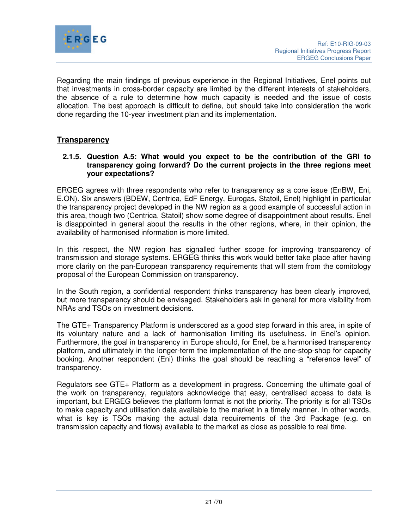

Regarding the main findings of previous experience in the Regional Initiatives, Enel points out that investments in cross-border capacity are limited by the different interests of stakeholders, the absence of a rule to determine how much capacity is needed and the issue of costs allocation. The best approach is difficult to define, but should take into consideration the work done regarding the 10-year investment plan and its implementation.

## **Transparency**

#### **2.1.5. Question A.5: What would you expect to be the contribution of the GRI to transparency going forward? Do the current projects in the three regions meet your expectations?**

ERGEG agrees with three respondents who refer to transparency as a core issue (EnBW, Eni, E.ON). Six answers (BDEW, Centrica, EdF Energy, Eurogas, Statoil, Enel) highlight in particular the transparency project developed in the NW region as a good example of successful action in this area, though two (Centrica, Statoil) show some degree of disappointment about results. Enel is disappointed in general about the results in the other regions, where, in their opinion, the availability of harmonised information is more limited.

In this respect, the NW region has signalled further scope for improving transparency of transmission and storage systems. ERGEG thinks this work would better take place after having more clarity on the pan-European transparency requirements that will stem from the comitology proposal of the European Commission on transparency.

In the South region, a confidential respondent thinks transparency has been clearly improved, but more transparency should be envisaged. Stakeholders ask in general for more visibility from NRAs and TSOs on investment decisions.

The GTE+ Transparency Platform is underscored as a good step forward in this area, in spite of its voluntary nature and a lack of harmonisation limiting its usefulness, in Enel's opinion. Furthermore, the goal in transparency in Europe should, for Enel, be a harmonised transparency platform, and ultimately in the longer-term the implementation of the one-stop-shop for capacity booking. Another respondent (Eni) thinks the goal should be reaching a "reference level" of transparency.

Regulators see GTE+ Platform as a development in progress. Concerning the ultimate goal of the work on transparency, regulators acknowledge that easy, centralised access to data is important, but ERGEG believes the platform format is not the priority. The priority is for all TSOs to make capacity and utilisation data available to the market in a timely manner. In other words, what is key is TSOs making the actual data requirements of the 3rd Package (e.g. on transmission capacity and flows) available to the market as close as possible to real time.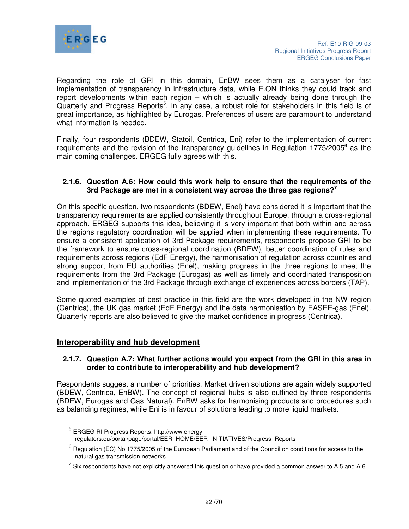

Regarding the role of GRI in this domain, EnBW sees them as a catalyser for fast implementation of transparency in infrastructure data, while E.ON thinks they could track and report developments within each region – which is actually already being done through the Quarterly and Progress Reports<sup>5</sup>. In any case, a robust role for stakeholders in this field is of great importance, as highlighted by Eurogas. Preferences of users are paramount to understand what information is needed.

Finally, four respondents (BDEW, Statoil, Centrica, Eni) refer to the implementation of current requirements and the revision of the transparency guidelines in Regulation 1775/2005<sup>6</sup> as the main coming challenges. ERGEG fully agrees with this.

#### **2.1.6. Question A.6: How could this work help to ensure that the requirements of the 3rd Package are met in a consistent way across the three gas regions?<sup>7</sup>**

On this specific question, two respondents (BDEW, Enel) have considered it is important that the transparency requirements are applied consistently throughout Europe, through a cross-regional approach. ERGEG supports this idea, believing it is very important that both within and across the regions regulatory coordination will be applied when implementing these requirements. To ensure a consistent application of 3rd Package requirements, respondents propose GRI to be the framework to ensure cross-regional coordination (BDEW), better coordination of rules and requirements across regions (EdF Energy), the harmonisation of regulation across countries and strong support from EU authorities (Enel), making progress in the three regions to meet the requirements from the 3rd Package (Eurogas) as well as timely and coordinated transposition and implementation of the 3rd Package through exchange of experiences across borders (TAP).

Some quoted examples of best practice in this field are the work developed in the NW region (Centrica), the UK gas market (EdF Energy) and the data harmonisation by EASEE-gas (Enel). Quarterly reports are also believed to give the market confidence in progress (Centrica).

## **Interoperability and hub development**

 $\overline{a}$ 

#### **2.1.7. Question A.7: What further actions would you expect from the GRI in this area in order to contribute to interoperability and hub development?**

Respondents suggest a number of priorities. Market driven solutions are again widely supported (BDEW, Centrica, EnBW). The concept of regional hubs is also outlined by three respondents (BDEW, Eurogas and Gas Natural). EnBW asks for harmonising products and procedures such as balancing regimes, while Eni is in favour of solutions leading to more liquid markets.

<sup>&</sup>lt;sup>5</sup> ERGEG RI Progress Reports: http://www.energyregulators.eu/portal/page/portal/EER\_HOME/EER\_INITIATIVES/Progress\_Reports

 $^6$  Regulation (EC) No 1775/2005 of the European Parliament and of the Council on conditions for access to the natural gas transmission networks.

 $^7$  Six respondents have not explicitly answered this question or have provided a common answer to A.5 and A.6.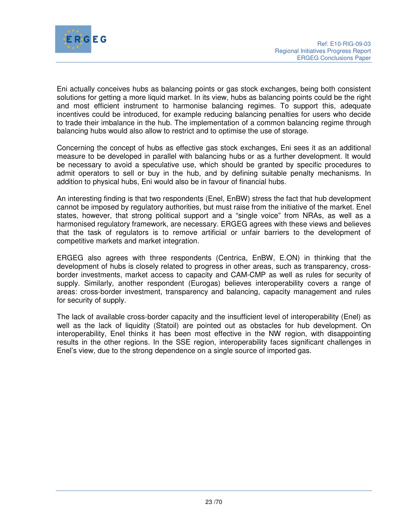

Eni actually conceives hubs as balancing points or gas stock exchanges, being both consistent solutions for getting a more liquid market. In its view, hubs as balancing points could be the right and most efficient instrument to harmonise balancing regimes. To support this, adequate incentives could be introduced, for example reducing balancing penalties for users who decide to trade their imbalance in the hub. The implementation of a common balancing regime through balancing hubs would also allow to restrict and to optimise the use of storage.

Concerning the concept of hubs as effective gas stock exchanges, Eni sees it as an additional measure to be developed in parallel with balancing hubs or as a further development. It would be necessary to avoid a speculative use, which should be granted by specific procedures to admit operators to sell or buy in the hub, and by defining suitable penalty mechanisms. In addition to physical hubs, Eni would also be in favour of financial hubs.

An interesting finding is that two respondents (Enel, EnBW) stress the fact that hub development cannot be imposed by regulatory authorities, but must raise from the initiative of the market. Enel states, however, that strong political support and a "single voice" from NRAs, as well as a harmonised regulatory framework, are necessary. ERGEG agrees with these views and believes that the task of regulators is to remove artificial or unfair barriers to the development of competitive markets and market integration.

ERGEG also agrees with three respondents (Centrica, EnBW, E.ON) in thinking that the development of hubs is closely related to progress in other areas, such as transparency, crossborder investments, market access to capacity and CAM-CMP as well as rules for security of supply. Similarly, another respondent (Eurogas) believes interoperability covers a range of areas: cross-border investment, transparency and balancing, capacity management and rules for security of supply.

The lack of available cross-border capacity and the insufficient level of interoperability (Enel) as well as the lack of liquidity (Statoil) are pointed out as obstacles for hub development. On interoperability, Enel thinks it has been most effective in the NW region, with disappointing results in the other regions. In the SSE region, interoperability faces significant challenges in Enel's view, due to the strong dependence on a single source of imported gas.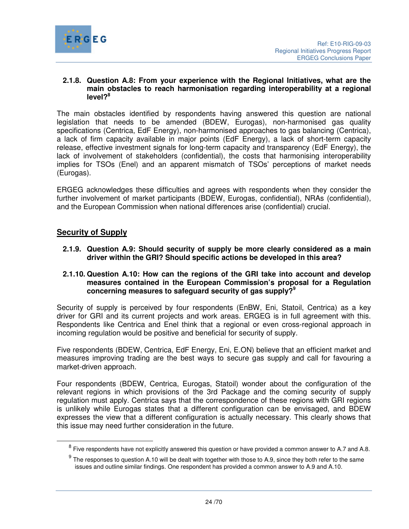

#### **2.1.8. Question A.8: From your experience with the Regional Initiatives, what are the main obstacles to reach harmonisation regarding interoperability at a regional level?<sup>8</sup>**

The main obstacles identified by respondents having answered this question are national legislation that needs to be amended (BDEW, Eurogas), non-harmonised gas quality specifications (Centrica, EdF Energy), non-harmonised approaches to gas balancing (Centrica), a lack of firm capacity available in major points (EdF Energy), a lack of short-term capacity release, effective investment signals for long-term capacity and transparency (EdF Energy), the lack of involvement of stakeholders (confidential), the costs that harmonising interoperability implies for TSOs (Enel) and an apparent mismatch of TSOs' perceptions of market needs (Eurogas).

ERGEG acknowledges these difficulties and agrees with respondents when they consider the further involvement of market participants (BDEW, Eurogas, confidential), NRAs (confidential), and the European Commission when national differences arise (confidential) crucial.

## **Security of Supply**

**2.1.9. Question A.9: Should security of supply be more clearly considered as a main driver within the GRI? Should specific actions be developed in this area?** 

#### **2.1.10. Question A.10: How can the regions of the GRI take into account and develop measures contained in the European Commission's proposal for a Regulation concerning measures to safeguard security of gas supply?<sup>9</sup>**

Security of supply is perceived by four respondents (EnBW, Eni, Statoil, Centrica) as a key driver for GRI and its current projects and work areas. ERGEG is in full agreement with this. Respondents like Centrica and Enel think that a regional or even cross-regional approach in incoming regulation would be positive and beneficial for security of supply.

Five respondents (BDEW, Centrica, EdF Energy, Eni, E.ON) believe that an efficient market and measures improving trading are the best ways to secure gas supply and call for favouring a market-driven approach.

Four respondents (BDEW, Centrica, Eurogas, Statoil) wonder about the configuration of the relevant regions in which provisions of the 3rd Package and the coming security of supply regulation must apply. Centrica says that the correspondence of these regions with GRI regions is unlikely while Eurogas states that a different configuration can be envisaged, and BDEW expresses the view that a different configuration is actually necessary. This clearly shows that this issue may need further consideration in the future.

 $^8$  Five respondents have not explicitly answered this question or have provided a common answer to A.7 and A.8.

 $9$  The responses to question A.10 will be dealt with together with those to A.9, since they both refer to the same issues and outline similar findings. One respondent has provided a common answer to A.9 and A.10.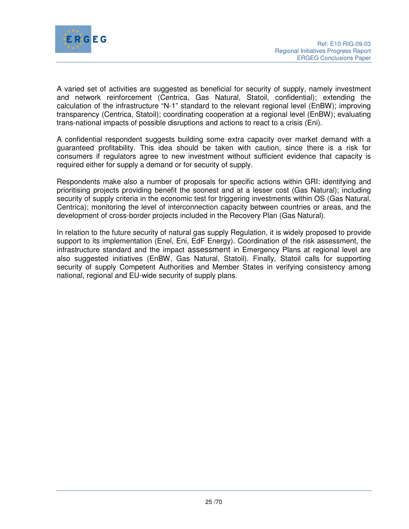

A varied set of activities are suggested as beneficial for security of supply, namely investment and network reinforcement (Centrica, Gas Natural, Statoil, confidential); extending the calculation of the infrastructure "N-1" standard to the relevant regional level (EnBW); improving transparency (Centrica, Statoil); coordinating cooperation at a regional level (EnBW); evaluating trans-national impacts of possible disruptions and actions to react to a crisis (Eni).

A confidential respondent suggests building some extra capacity over market demand with a guaranteed profitability. This idea should be taken with caution, since there is a risk for consumers if regulators agree to new investment without sufficient evidence that capacity is required either for supply a demand or for security of supply.

Respondents make also a number of proposals for specific actions within GRI: identifying and prioritising projects providing benefit the soonest and at a lesser cost (Gas Natural); including security of supply criteria in the economic test for triggering investments within OS (Gas Natural, Centrica); monitoring the level of interconnection capacity between countries or areas, and the development of cross-border projects included in the Recovery Plan (Gas Natural).

In relation to the future security of natural gas supply Regulation, it is widely proposed to provide support to its implementation (Enel, Eni, EdF Energy). Coordination of the risk assessment, the infrastructure standard and the impact assessment in Emergency Plans at regional level are also suggested initiatives (EnBW, Gas Natural, Statoil). Finally, Statoil calls for supporting security of supply Competent Authorities and Member States in verifying consistency among national, regional and EU-wide security of supply plans.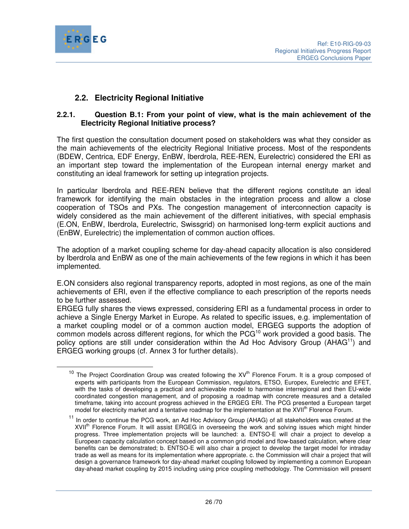

# **2.2. Electricity Regional Initiative**

## **2.2.1. Question B.1: From your point of view, what is the main achievement of the Electricity Regional Initiative process?**

The first question the consultation document posed on stakeholders was what they consider as the main achievements of the electricity Regional Initiative process. Most of the respondents (BDEW, Centrica, EDF Energy, EnBW, Iberdrola, REE-REN, Eurelectric) considered the ERI as an important step toward the implementation of the European internal energy market and constituting an ideal framework for setting up integration projects.

In particular Iberdrola and REE-REN believe that the different regions constitute an ideal framework for identifying the main obstacles in the integration process and allow a close cooperation of TSOs and PXs. The congestion management of interconnection capacity is widely considered as the main achievement of the different initiatives, with special emphasis (E.ON, EnBW, Iberdrola, Eurelectric, Swissgrid) on harmonised long-term explicit auctions and (EnBW, Eurelectric) the implementation of common auction offices.

The adoption of a market coupling scheme for day-ahead capacity allocation is also considered by Iberdrola and EnBW as one of the main achievements of the few regions in which it has been implemented.

E.ON considers also regional transparency reports, adopted in most regions, as one of the main achievements of ERI, even if the effective compliance to each prescription of the reports needs to be further assessed.

ERGEG fully shares the views expressed, considering ERI as a fundamental process in order to achieve a Single Energy Market in Europe. As related to specific issues, e.g. implementation of a market coupling model or of a common auction model, ERGEG supports the adoption of common models across different regions, for which the  $PCG<sup>10</sup>$  work provided a good basis. The policy options are still under consideration within the Ad Hoc Advisory Group (AHAG<sup>11</sup>) and ERGEG working groups (cf. Annex 3 for further details).

 $10$  The Project Coordination Group was created following the  $XV^{th}$  Florence Forum. It is a group composed of experts with participants from the European Commission, regulators, ETSO, Europex, Eurelectric and EFET, with the tasks of developing a practical and achievable model to harmonise interregional and then EU-wide coordinated congestion management, and of proposing a roadmap with concrete measures and a detailed timeframe, taking into account progress achieved in the ERGEG ERI. The PCG presented a European target model for electricity market and a tentative roadmap for the implementation at the XVII<sup>th</sup> Florence Forum.

<sup>&</sup>lt;sup>11</sup> In order to continue the PCG work, an Ad Hoc Advisory Group (AHAG) of all stakeholders was created at the XVII<sup>th</sup> Florence Forum. It will assist ERGEG in overseeing the work and solving issues which might hinder progress. Three implementation projects will be launched: a. ENTSO-E will chair a project to develop a European capacity calculation concept based on a common grid model and flow-based calculation, where clear benefits can be demonstrated; b. ENTSO-E will also chair a project to develop the target model for intraday trade as well as means for its implementation where appropriate. c. the Commission will chair a project that will design a governance framework for day-ahead market coupling followed by implementing a common European day-ahead market coupling by 2015 including using price coupling methodology. The Commission will present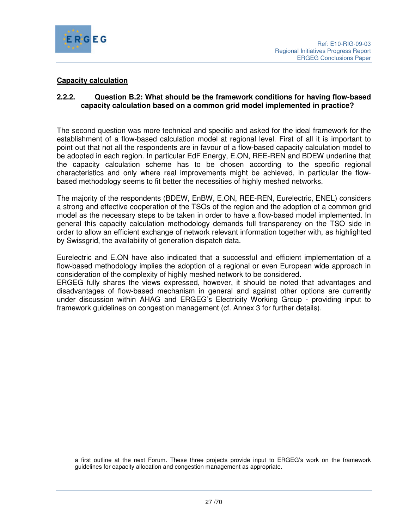

-

#### **Capacity calculation**

#### **2.2.2. Question B.2: What should be the framework conditions for having flow-based capacity calculation based on a common grid model implemented in practice?**

The second question was more technical and specific and asked for the ideal framework for the establishment of a flow-based calculation model at regional level. First of all it is important to point out that not all the respondents are in favour of a flow-based capacity calculation model to be adopted in each region. In particular EdF Energy, E.ON, REE-REN and BDEW underline that the capacity calculation scheme has to be chosen according to the specific regional characteristics and only where real improvements might be achieved, in particular the flowbased methodology seems to fit better the necessities of highly meshed networks.

The majority of the respondents (BDEW, EnBW, E.ON, REE-REN, Eurelectric, ENEL) considers a strong and effective cooperation of the TSOs of the region and the adoption of a common grid model as the necessary steps to be taken in order to have a flow-based model implemented. In general this capacity calculation methodology demands full transparency on the TSO side in order to allow an efficient exchange of network relevant information together with, as highlighted by Swissgrid, the availability of generation dispatch data.

Eurelectric and E.ON have also indicated that a successful and efficient implementation of a flow-based methodology implies the adoption of a regional or even European wide approach in consideration of the complexity of highly meshed network to be considered.

ERGEG fully shares the views expressed, however, it should be noted that advantages and disadvantages of flow-based mechanism in general and against other options are currently under discussion within AHAG and ERGEG's Electricity Working Group - providing input to framework guidelines on congestion management (cf. Annex 3 for further details).

a first outline at the next Forum. These three projects provide input to ERGEG's work on the framework guidelines for capacity allocation and congestion management as appropriate.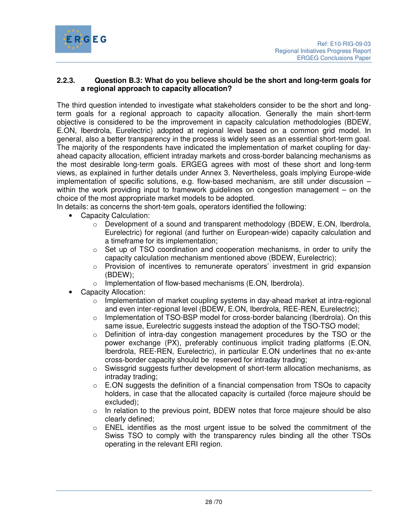

## **2.2.3. Question B.3: What do you believe should be the short and long-term goals for a regional approach to capacity allocation?**

The third question intended to investigate what stakeholders consider to be the short and longterm goals for a regional approach to capacity allocation. Generally the main short-term objective is considered to be the improvement in capacity calculation methodologies (BDEW, E.ON, Iberdrola, Eurelectric) adopted at regional level based on a common grid model. In general, also a better transparency in the process is widely seen as an essential short-term goal. The majority of the respondents have indicated the implementation of market coupling for dayahead capacity allocation, efficient intraday markets and cross-border balancing mechanisms as the most desirable long-term goals. ERGEG agrees with most of these short and long-term views, as explained in further details under Annex 3. Nevertheless, goals implying Europe-wide implementation of specific solutions, e.g. flow-based mechanism, are still under discussion – within the work providing input to framework guidelines on congestion management – on the choice of the most appropriate market models to be adopted.

In details: as concerns the short-tem goals, operators identified the following:

- Capacity Calculation:
	- $\circ$  Development of a sound and transparent methodology (BDEW, E.ON, Iberdrola, Eurelectric) for regional (and further on European-wide) capacity calculation and a timeframe for its implementation;
	- $\circ$  Set up of TSO coordination and cooperation mechanisms, in order to unify the capacity calculation mechanism mentioned above (BDEW, Eurelectric);
	- $\circ$  Provision of incentives to remunerate operators' investment in grid expansion (BDEW);
	- o Implementation of flow-based mechanisms (E.ON, Iberdrola).
- Capacity Allocation:
	- $\circ$  Implementation of market coupling systems in day-ahead market at intra-regional and even inter-regional level (BDEW, E.ON, Iberdrola, REE-REN, Eurelectric);
	- $\circ$  Implementation of TSO-BSP model for cross-border balancing (Iberdrola). On this same issue, Eurelectric suggests instead the adoption of the TSO-TSO model;
	- o Definition of intra-day congestion management procedures by the TSO or the power exchange (PX), preferably continuous implicit trading platforms (E.ON, Iberdrola, REE-REN, Eurelectric), in particular E.ON underlines that no ex-ante cross-border capacity should be reserved for intraday trading;
	- Swissgrid suggests further development of short-term allocation mechanisms, as intraday trading;
	- $\circ$  E.ON suggests the definition of a financial compensation from TSOs to capacity holders, in case that the allocated capacity is curtailed (force majeure should be excluded);
	- $\circ$  In relation to the previous point, BDEW notes that force majeure should be also clearly defined;
	- $\circ$  ENEL identifies as the most urgent issue to be solved the commitment of the Swiss TSO to comply with the transparency rules binding all the other TSOs operating in the relevant ERI region.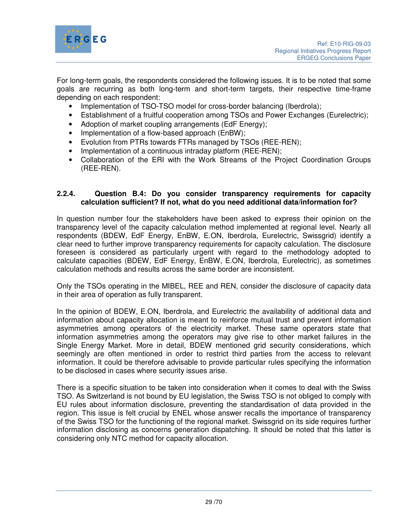

For long-term goals, the respondents considered the following issues. It is to be noted that some goals are recurring as both long-term and short-term targets, their respective time-frame depending on each respondent:

- Implementation of TSO-TSO model for cross-border balancing (Iberdrola);
- Establishment of a fruitful cooperation among TSOs and Power Exchanges (Eurelectric);
- Adoption of market coupling arrangements (EdF Energy);
- Implementation of a flow-based approach (EnBW);
- Evolution from PTRs towards FTRs managed by TSOs (REE-REN);
- Implementation of a continuous intraday platform (REE-REN);
- Collaboration of the ERI with the Work Streams of the Project Coordination Groups (REE-REN).

#### **2.2.4. Question B.4: Do you consider transparency requirements for capacity calculation sufficient? If not, what do you need additional data/information for?**

In question number four the stakeholders have been asked to express their opinion on the transparency level of the capacity calculation method implemented at regional level. Nearly all respondents (BDEW, EdF Energy, EnBW, E.ON, Iberdrola, Eurelectric, Swissgrid) identify a clear need to further improve transparency requirements for capacity calculation. The disclosure foreseen is considered as particularly urgent with regard to the methodology adopted to calculate capacities (BDEW, EdF Energy, EnBW, E.ON, Iberdrola, Eurelectric), as sometimes calculation methods and results across the same border are inconsistent.

Only the TSOs operating in the MIBEL, REE and REN, consider the disclosure of capacity data in their area of operation as fully transparent.

In the opinion of BDEW, E.ON, Iberdrola, and Eurelectric the availability of additional data and information about capacity allocation is meant to reinforce mutual trust and prevent information asymmetries among operators of the electricity market. These same operators state that information asymmetries among the operators may give rise to other market failures in the Single Energy Market. More in detail, BDEW mentioned grid security considerations, which seemingly are often mentioned in order to restrict third parties from the access to relevant information. It could be therefore advisable to provide particular rules specifying the information to be disclosed in cases where security issues arise.

There is a specific situation to be taken into consideration when it comes to deal with the Swiss TSO. As Switzerland is not bound by EU legislation, the Swiss TSO is not obliged to comply with EU rules about information disclosure, preventing the standardisation of data provided in the region. This issue is felt crucial by ENEL whose answer recalls the importance of transparency of the Swiss TSO for the functioning of the regional market. Swissgrid on its side requires further information disclosing as concerns generation dispatching. It should be noted that this latter is considering only NTC method for capacity allocation.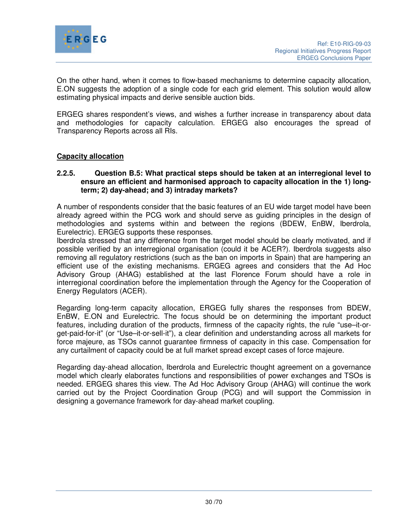

On the other hand, when it comes to flow-based mechanisms to determine capacity allocation, E.ON suggests the adoption of a single code for each grid element. This solution would allow estimating physical impacts and derive sensible auction bids.

ERGEG shares respondent's views, and wishes a further increase in transparency about data and methodologies for capacity calculation. ERGEG also encourages the spread of Transparency Reports across all RIs.

#### **Capacity allocation**

#### **2.2.5. Question B.5: What practical steps should be taken at an interregional level to ensure an efficient and harmonised approach to capacity allocation in the 1) longterm; 2) day-ahead; and 3) intraday markets?**

A number of respondents consider that the basic features of an EU wide target model have been already agreed within the PCG work and should serve as guiding principles in the design of methodologies and systems within and between the regions (BDEW, EnBW, Iberdrola, Eurelectric). ERGEG supports these responses.

Iberdrola stressed that any difference from the target model should be clearly motivated, and if possible verified by an interregional organisation (could it be ACER?). Iberdrola suggests also removing all regulatory restrictions (such as the ban on imports in Spain) that are hampering an efficient use of the existing mechanisms. ERGEG agrees and considers that the Ad Hoc Advisory Group (AHAG) established at the last Florence Forum should have a role in interregional coordination before the implementation through the Agency for the Cooperation of Energy Regulators (ACER).

Regarding long-term capacity allocation, ERGEG fully shares the responses from BDEW, EnBW, E.ON and Eurelectric. The focus should be on determining the important product features, including duration of the products, firmness of the capacity rights, the rule "use–it-orget-paid-for-it" (or "Use–it-or-sell-it"), a clear definition and understanding across all markets for force majeure, as TSOs cannot guarantee firmness of capacity in this case. Compensation for any curtailment of capacity could be at full market spread except cases of force majeure.

Regarding day-ahead allocation, Iberdrola and Eurelectric thought agreement on a governance model which clearly elaborates functions and responsibilities of power exchanges and TSOs is needed. ERGEG shares this view. The Ad Hoc Advisory Group (AHAG) will continue the work carried out by the Project Coordination Group (PCG) and will support the Commission in designing a governance framework for day-ahead market coupling.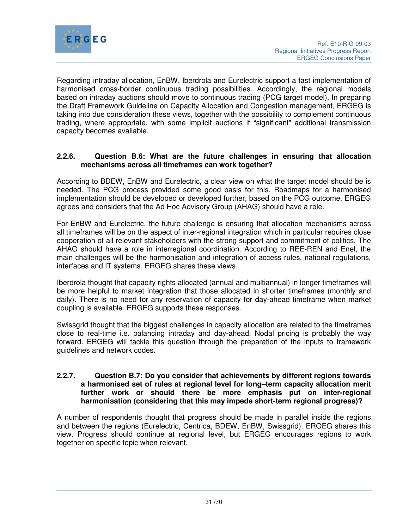

Regarding intraday allocation, EnBW, Iberdrola and Eurelectric support a fast implementation of harmonised cross-border continuous trading possibilities. Accordingly, the regional models based on intraday auctions should move to continuous trading (PCG target model). In preparing the Draft Framework Guideline on Capacity Allocation and Congestion management, ERGEG is taking into due consideration these views, together with the possibility to complement continuous trading, where appropriate, with some implicit auctions if "significant" additional transmission capacity becomes available.

## **2.2.6. Question B.6: What are the future challenges in ensuring that allocation mechanisms across all timeframes can work together?**

According to BDEW, EnBW and Eurelectric, a clear view on what the target model should be is needed. The PCG process provided some good basis for this. Roadmaps for a harmonised implementation should be developed or developed further, based on the PCG outcome. ERGEG agrees and considers that the Ad Hoc Advisory Group (AHAG) should have a role.

For EnBW and Eurelectric, the future challenge is ensuring that allocation mechanisms across all timeframes will be on the aspect of inter-regional integration which in particular requires close cooperation of all relevant stakeholders with the strong support and commitment of politics. The AHAG should have a role in interregional coordination. According to REE-REN and Enel, the main challenges will be the harmonisation and integration of access rules, national regulations, interfaces and IT systems. ERGEG shares these views.

Iberdrola thought that capacity rights allocated (annual and multiannual) in longer timeframes will be more helpful to market integration that those allocated in shorter timeframes (monthly and daily). There is no need for any reservation of capacity for day-ahead timeframe when market coupling is available. ERGEG supports these responses.

Swissgrid thought that the biggest challenges in capacity allocation are related to the timeframes close to real-time i.e. balancing intraday and day-ahead. Nodal pricing is probably the way forward. ERGEG will tackle this question through the preparation of the inputs to framework guidelines and network codes.

#### **2.2.7. Question B.7: Do you consider that achievements by different regions towards a harmonised set of rules at regional level for long–term capacity allocation merit further work or should there be more emphasis put on inter-regional harmonisation (considering that this may impede short-term regional progress)?**

A number of respondents thought that progress should be made in parallel inside the regions and between the regions (Eurelectric, Centrica, BDEW, EnBW, Swissgrid). ERGEG shares this view. Progress should continue at regional level, but ERGEG encourages regions to work together on specific topic when relevant.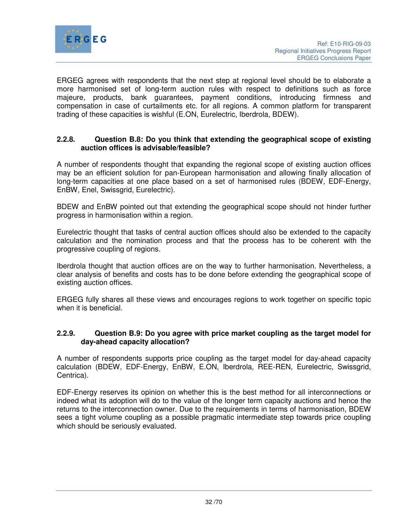

ERGEG agrees with respondents that the next step at regional level should be to elaborate a more harmonised set of long-term auction rules with respect to definitions such as force majeure, products, bank guarantees, payment conditions, introducing firmness and compensation in case of curtailments etc. for all regions. A common platform for transparent trading of these capacities is wishful (E.ON, Eurelectric, Iberdrola, BDEW).

#### **2.2.8. Question B.8: Do you think that extending the geographical scope of existing auction offices is advisable/feasible?**

A number of respondents thought that expanding the regional scope of existing auction offices may be an efficient solution for pan-European harmonisation and allowing finally allocation of long-term capacities at one place based on a set of harmonised rules (BDEW, EDF-Energy, EnBW, Enel, Swissgrid, Eurelectric).

BDEW and EnBW pointed out that extending the geographical scope should not hinder further progress in harmonisation within a region.

Eurelectric thought that tasks of central auction offices should also be extended to the capacity calculation and the nomination process and that the process has to be coherent with the progressive coupling of regions.

Iberdrola thought that auction offices are on the way to further harmonisation. Nevertheless, a clear analysis of benefits and costs has to be done before extending the geographical scope of existing auction offices.

ERGEG fully shares all these views and encourages regions to work together on specific topic when it is beneficial.

#### **2.2.9. Question B.9: Do you agree with price market coupling as the target model for day-ahead capacity allocation?**

A number of respondents supports price coupling as the target model for day-ahead capacity calculation (BDEW, EDF-Energy, EnBW, E.ON, Iberdrola, REE-REN, Eurelectric, Swissgrid, Centrica).

EDF-Energy reserves its opinion on whether this is the best method for all interconnections or indeed what its adoption will do to the value of the longer term capacity auctions and hence the returns to the interconnection owner. Due to the requirements in terms of harmonisation, BDEW sees a tight volume coupling as a possible pragmatic intermediate step towards price coupling which should be seriously evaluated.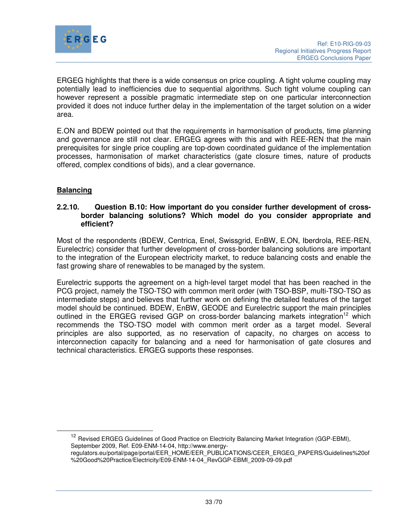

ERGEG highlights that there is a wide consensus on price coupling. A tight volume coupling may potentially lead to inefficiencies due to sequential algorithms. Such tight volume coupling can however represent a possible pragmatic intermediate step on one particular interconnection provided it does not induce further delay in the implementation of the target solution on a wider area.

E.ON and BDEW pointed out that the requirements in harmonisation of products, time planning and governance are still not clear. ERGEG agrees with this and with REE-REN that the main prerequisites for single price coupling are top-down coordinated guidance of the implementation processes, harmonisation of market characteristics (gate closure times, nature of products offered, complex conditions of bids), and a clear governance.

## **Balancing**

 $\overline{a}$ 

#### **2.2.10. Question B.10: How important do you consider further development of crossborder balancing solutions? Which model do you consider appropriate and efficient?**

Most of the respondents (BDEW, Centrica, Enel, Swissgrid, EnBW, E.ON, Iberdrola, REE-REN, Eurelectric) consider that further development of cross-border balancing solutions are important to the integration of the European electricity market, to reduce balancing costs and enable the fast growing share of renewables to be managed by the system.

Eurelectric supports the agreement on a high-level target model that has been reached in the PCG project, namely the TSO-TSO with common merit order (with TSO-BSP, multi-TSO-TSO as intermediate steps) and believes that further work on defining the detailed features of the target model should be continued. BDEW, EnBW, GEODE and Eurelectric support the main principles outlined in the ERGEG revised GGP on cross-border balancing markets integration<sup>12</sup> which recommends the TSO-TSO model with common merit order as a target model. Several principles are also supported, as no reservation of capacity, no charges on access to interconnection capacity for balancing and a need for harmonisation of gate closures and technical characteristics. ERGEG supports these responses.

<sup>12</sup> Revised ERGEG Guidelines of Good Practice on Electricity Balancing Market Integration (GGP-EBMI), September 2009, Ref. E09-ENM-14-04, http://www.energyregulators.eu/portal/page/portal/EER\_HOME/EER\_PUBLICATIONS/CEER\_ERGEG\_PAPERS/Guidelines%20of %20Good%20Practice/Electricity/E09-ENM-14-04\_RevGGP-EBMI\_2009-09-09.pdf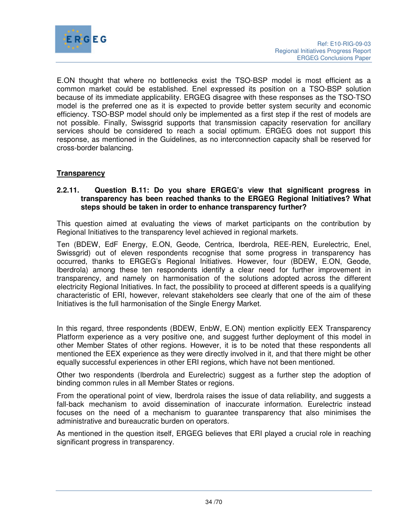

E.ON thought that where no bottlenecks exist the TSO-BSP model is most efficient as a common market could be established. Enel expressed its position on a TSO-BSP solution because of its immediate applicability. ERGEG disagree with these responses as the TSO-TSO model is the preferred one as it is expected to provide better system security and economic efficiency. TSO-BSP model should only be implemented as a first step if the rest of models are not possible. Finally, Swissgrid supports that transmission capacity reservation for ancillary services should be considered to reach a social optimum. ERGEG does not support this response, as mentioned in the Guidelines, as no interconnection capacity shall be reserved for cross-border balancing.

## **Transparency**

#### **2.2.11. Question B.11: Do you share ERGEG's view that significant progress in transparency has been reached thanks to the ERGEG Regional Initiatives? What steps should be taken in order to enhance transparency further?**

This question aimed at evaluating the views of market participants on the contribution by Regional Initiatives to the transparency level achieved in regional markets.

Ten (BDEW, EdF Energy, E.ON, Geode, Centrica, Iberdrola, REE-REN, Eurelectric, Enel, Swissgrid) out of eleven respondents recognise that some progress in transparency has occurred, thanks to ERGEG's Regional Initiatives. However, four (BDEW, E.ON, Geode, Iberdrola) among these ten respondents identify a clear need for further improvement in transparency, and namely on harmonisation of the solutions adopted across the different electricity Regional Initiatives. In fact, the possibility to proceed at different speeds is a qualifying characteristic of ERI, however, relevant stakeholders see clearly that one of the aim of these Initiatives is the full harmonisation of the Single Energy Market.

In this regard, three respondents (BDEW, EnbW, E.ON) mention explicitly EEX Transparency Platform experience as a very positive one, and suggest further deployment of this model in other Member States of other regions. However, it is to be noted that these respondents all mentioned the EEX experience as they were directly involved in it, and that there might be other equally successful experiences in other ERI regions, which have not been mentioned.

Other two respondents (Iberdrola and Eurelectric) suggest as a further step the adoption of binding common rules in all Member States or regions.

From the operational point of view, Iberdrola raises the issue of data reliability, and suggests a fall-back mechanism to avoid dissemination of inaccurate information. Eurelectric instead focuses on the need of a mechanism to guarantee transparency that also minimises the administrative and bureaucratic burden on operators.

As mentioned in the question itself, ERGEG believes that ERI played a crucial role in reaching significant progress in transparency.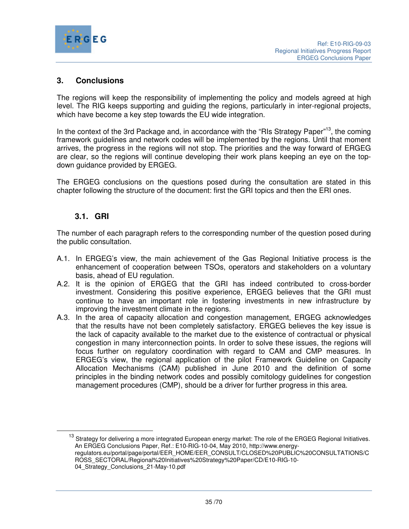

# **3. Conclusions**

The regions will keep the responsibility of implementing the policy and models agreed at high level. The RIG keeps supporting and guiding the regions, particularly in inter-regional projects, which have become a key step towards the EU wide integration.

In the context of the 3rd Package and, in accordance with the "RIs Strategy Paper"<sup>13</sup>, the coming framework guidelines and network codes will be implemented by the regions. Until that moment arrives, the progress in the regions will not stop. The priorities and the way forward of ERGEG are clear, so the regions will continue developing their work plans keeping an eye on the topdown guidance provided by ERGEG.

The ERGEG conclusions on the questions posed during the consultation are stated in this chapter following the structure of the document: first the GRI topics and then the ERI ones.

# **3.1. GRI**

 $\overline{a}$ 

The number of each paragraph refers to the corresponding number of the question posed during the public consultation.

- A.1. In ERGEG's view, the main achievement of the Gas Regional Initiative process is the enhancement of cooperation between TSOs, operators and stakeholders on a voluntary basis, ahead of EU regulation.
- A.2. It is the opinion of ERGEG that the GRI has indeed contributed to cross-border investment. Considering this positive experience, ERGEG believes that the GRI must continue to have an important role in fostering investments in new infrastructure by improving the investment climate in the regions.
- A.3. In the area of capacity allocation and congestion management, ERGEG acknowledges that the results have not been completely satisfactory. ERGEG believes the key issue is the lack of capacity available to the market due to the existence of contractual or physical congestion in many interconnection points. In order to solve these issues, the regions will focus further on regulatory coordination with regard to CAM and CMP measures. In ERGEG's view, the regional application of the pilot Framework Guideline on Capacity Allocation Mechanisms (CAM) published in June 2010 and the definition of some principles in the binding network codes and possibly comitology guidelines for congestion management procedures (CMP), should be a driver for further progress in this area.

<sup>&</sup>lt;sup>13</sup> Strategy for delivering a more integrated European energy market: The role of the ERGEG Regional Initiatives. An ERGEG Conclusions Paper, Ref.: E10-RIG-10-04, May 2010, http://www.energyregulators.eu/portal/page/portal/EER\_HOME/EER\_CONSULT/CLOSED%20PUBLIC%20CONSULTATIONS/C ROSS\_SECTORAL/Regional%20Initiatives%20Strategy%20Paper/CD/E10-RIG-10- 04 Strategy Conclusions 21-May-10.pdf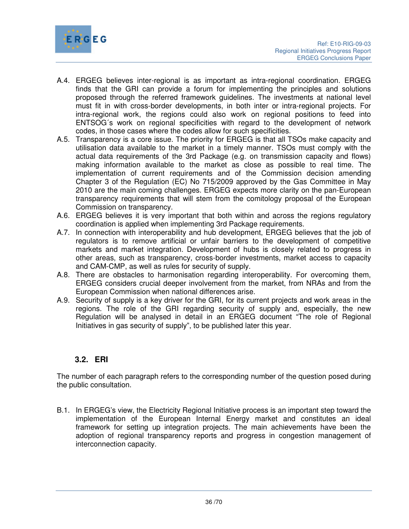

- A.4. ERGEG believes inter-regional is as important as intra-regional coordination. ERGEG finds that the GRI can provide a forum for implementing the principles and solutions proposed through the referred framework guidelines. The investments at national level must fit in with cross-border developments, in both inter or intra-regional projects. For intra-regional work, the regions could also work on regional positions to feed into ENTSOG´s work on regional specificities with regard to the development of network codes, in those cases where the codes allow for such specificities.
- A.5. Transparency is a core issue. The priority for ERGEG is that all TSOs make capacity and utilisation data available to the market in a timely manner. TSOs must comply with the actual data requirements of the 3rd Package (e.g. on transmission capacity and flows) making information available to the market as close as possible to real time. The implementation of current requirements and of the Commission decision amending Chapter 3 of the Regulation (EC) No 715/2009 approved by the Gas Committee in May 2010 are the main coming challenges. ERGEG expects more clarity on the pan-European transparency requirements that will stem from the comitology proposal of the European Commission on transparency.
- A.6. ERGEG believes it is very important that both within and across the regions regulatory coordination is applied when implementing 3rd Package requirements.
- A.7. In connection with interoperability and hub development, ERGEG believes that the job of regulators is to remove artificial or unfair barriers to the development of competitive markets and market integration. Development of hubs is closely related to progress in other areas, such as transparency, cross-border investments, market access to capacity and CAM-CMP, as well as rules for security of supply.
- A.8. There are obstacles to harmonisation regarding interoperability. For overcoming them, ERGEG considers crucial deeper involvement from the market, from NRAs and from the European Commission when national differences arise.
- A.9. Security of supply is a key driver for the GRI, for its current projects and work areas in the regions. The role of the GRI regarding security of supply and, especially, the new Regulation will be analysed in detail in an ERGEG document "The role of Regional Initiatives in gas security of supply", to be published later this year.

# **3.2. ERI**

The number of each paragraph refers to the corresponding number of the question posed during the public consultation.

B.1. In ERGEG's view, the Electricity Regional Initiative process is an important step toward the implementation of the European Internal Energy market and constitutes an ideal framework for setting up integration projects. The main achievements have been the adoption of regional transparency reports and progress in congestion management of interconnection capacity.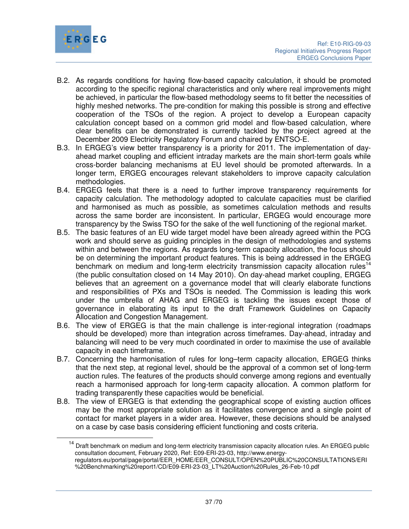

 $\overline{a}$ 

- B.2. As regards conditions for having flow-based capacity calculation, it should be promoted according to the specific regional characteristics and only where real improvements might be achieved, in particular the flow-based methodology seems to fit better the necessities of highly meshed networks. The pre-condition for making this possible is strong and effective cooperation of the TSOs of the region. A project to develop a European capacity calculation concept based on a common grid model and flow-based calculation, where clear benefits can be demonstrated is currently tackled by the project agreed at the December 2009 Electricity Regulatory Forum and chaired by ENTSO-E.
- B.3. In ERGEG's view better transparency is a priority for 2011. The implementation of dayahead market coupling and efficient intraday markets are the main short-term goals while cross-border balancing mechanisms at EU level should be promoted afterwards. In a longer term, ERGEG encourages relevant stakeholders to improve capacity calculation methodologies.
- B.4. ERGEG feels that there is a need to further improve transparency requirements for capacity calculation. The methodology adopted to calculate capacities must be clarified and harmonised as much as possible, as sometimes calculation methods and results across the same border are inconsistent. In particular, ERGEG would encourage more transparency by the Swiss TSO for the sake of the well functioning of the regional market.
- B.5. The basic features of an EU wide target model have been already agreed within the PCG work and should serve as guiding principles in the design of methodologies and systems within and between the regions. As regards long-term capacity allocation, the focus should be on determining the important product features. This is being addressed in the ERGEG benchmark on medium and long-term electricity transmission capacity allocation rules<sup>14</sup> (the public consultation closed on 14 May 2010). On day-ahead market coupling, ERGEG believes that an agreement on a governance model that will clearly elaborate functions and responsibilities of PXs and TSOs is needed. The Commission is leading this work under the umbrella of AHAG and ERGEG is tackling the issues except those of governance in elaborating its input to the draft Framework Guidelines on Capacity Allocation and Congestion Management.
- B.6. The view of ERGEG is that the main challenge is inter-regional integration (roadmaps should be developed) more than integration across timeframes. Day-ahead, intraday and balancing will need to be very much coordinated in order to maximise the use of available capacity in each timeframe.
- B.7. Concerning the harmonisation of rules for long–term capacity allocation, ERGEG thinks that the next step, at regional level, should be the approval of a common set of long-term auction rules. The features of the products should converge among regions and eventually reach a harmonised approach for long-term capacity allocation. A common platform for trading transparently these capacities would be beneficial.
- B.8. The view of ERGEG is that extending the geographical scope of existing auction offices may be the most appropriate solution as it facilitates convergence and a single point of contact for market players in a wider area. However, these decisions should be analysed on a case by case basis considering efficient functioning and costs criteria.

<sup>&</sup>lt;sup>14</sup> Draft benchmark on medium and long-term electricity transmission capacity allocation rules. An ERGEG public consultation document, February 2020, Ref: E09-ERI-23-03, http://www.energyregulators.eu/portal/page/portal/EER\_HOME/EER\_CONSULT/OPEN%20PUBLIC%20CONSULTATIONS/ERI %20Benchmarking%20report1/CD/E09-ERI-23-03\_LT%20Auction%20Rules\_26-Feb-10.pdf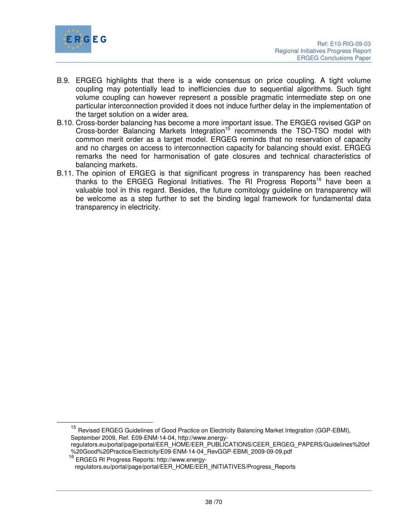

- B.9. ERGEG highlights that there is a wide consensus on price coupling. A tight volume coupling may potentially lead to inefficiencies due to sequential algorithms. Such tight volume coupling can however represent a possible pragmatic intermediate step on one particular interconnection provided it does not induce further delay in the implementation of the target solution on a wider area.
- B.10. Cross-border balancing has become a more important issue. The ERGEG revised GGP on Cross-border Balancing Markets Integration<sup>15</sup> recommends the TSO-TSO model with common merit order as a target model. ERGEG reminds that no reservation of capacity and no charges on access to interconnection capacity for balancing should exist. ERGEG remarks the need for harmonisation of gate closures and technical characteristics of balancing markets.
- B.11. The opinion of ERGEG is that significant progress in transparency has been reached thanks to the ERGEG Regional Initiatives. The RI Progress Reports<sup>16</sup> have been a valuable tool in this regard. Besides, the future comitology guideline on transparency will be welcome as a step further to set the binding legal framework for fundamental data transparency in electricity.

<sup>&</sup>lt;sup>15</sup> Revised ERGEG Guidelines of Good Practice on Electricity Balancing Market Integration (GGP-EBMI), September 2009, Ref. E09-ENM-14-04, http://www.energyregulators.eu/portal/page/portal/EER\_HOME/EER\_PUBLICATIONS/CEER\_ERGEG\_PAPERS/Guidelines%20of %20Good%20Practice/Electricity/E09-ENM-14-04\_RevGGP-EBMI\_2009-09-09.pdf

<sup>16</sup> ERGEG RI Progress Reports: http://www.energyregulators.eu/portal/page/portal/EER\_HOME/EER\_INITIATIVES/Progress\_Reports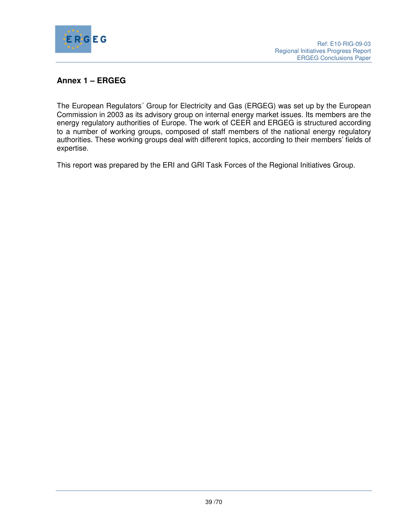

# **Annex 1 – ERGEG**

The European Regulators´ Group for Electricity and Gas (ERGEG) was set up by the European Commission in 2003 as its advisory group on internal energy market issues. Its members are the energy regulatory authorities of Europe. The work of CEER and ERGEG is structured according to a number of working groups, composed of staff members of the national energy regulatory authorities. These working groups deal with different topics, according to their members' fields of expertise.

This report was prepared by the ERI and GRI Task Forces of the Regional Initiatives Group.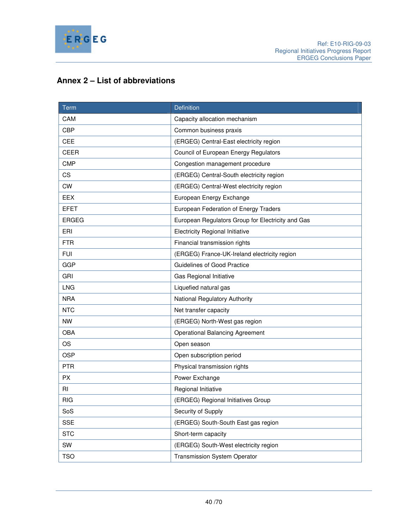

# **Annex 2 – List of abbreviations**

| Term         | <b>Definition</b>                                 |  |  |
|--------------|---------------------------------------------------|--|--|
| CAM          | Capacity allocation mechanism                     |  |  |
| <b>CBP</b>   | Common business praxis                            |  |  |
| CEE          | (ERGEG) Central-East electricity region           |  |  |
| <b>CEER</b>  | Council of European Energy Regulators             |  |  |
| <b>CMP</b>   | Congestion management procedure                   |  |  |
| CS           | (ERGEG) Central-South electricity region          |  |  |
| <b>CW</b>    | (ERGEG) Central-West electricity region           |  |  |
| EEX          | European Energy Exchange                          |  |  |
| <b>EFET</b>  | European Federation of Energy Traders             |  |  |
| <b>ERGEG</b> | European Regulators Group for Electricity and Gas |  |  |
| ERI          | <b>Electricity Regional Initiative</b>            |  |  |
| <b>FTR</b>   | Financial transmission rights                     |  |  |
| <b>FUI</b>   | (ERGEG) France-UK-Ireland electricity region      |  |  |
| <b>GGP</b>   | Guidelines of Good Practice                       |  |  |
| GRI          | Gas Regional Initiative                           |  |  |
| <b>LNG</b>   | Liquefied natural gas                             |  |  |
| <b>NRA</b>   | National Regulatory Authority                     |  |  |
| <b>NTC</b>   | Net transfer capacity                             |  |  |
| <b>NW</b>    | (ERGEG) North-West gas region                     |  |  |
| <b>OBA</b>   | <b>Operational Balancing Agreement</b>            |  |  |
| <b>OS</b>    | Open season                                       |  |  |
| <b>OSP</b>   | Open subscription period                          |  |  |
| <b>PTR</b>   | Physical transmission rights                      |  |  |
| <b>PX</b>    | Power Exchange                                    |  |  |
| <b>RI</b>    | Regional Initiative                               |  |  |
| <b>RIG</b>   | (ERGEG) Regional Initiatives Group                |  |  |
| SoS          | Security of Supply                                |  |  |
| <b>SSE</b>   | (ERGEG) South-South East gas region               |  |  |
| <b>STC</b>   | Short-term capacity                               |  |  |
| SW           | (ERGEG) South-West electricity region             |  |  |
| <b>TSO</b>   | Transmission System Operator                      |  |  |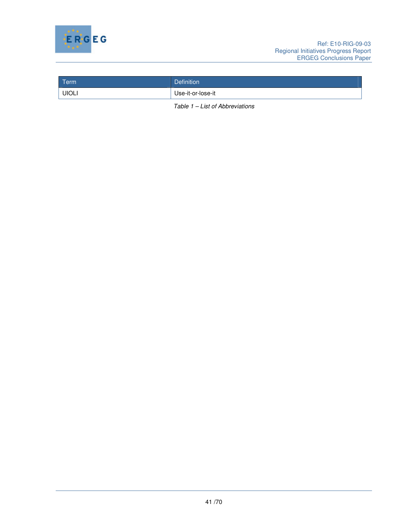

| Term         | <b>Definition</b> |
|--------------|-------------------|
| <b>UIOLI</b> | Use-it-or-lose-it |

Table 1 – List of Abbreviations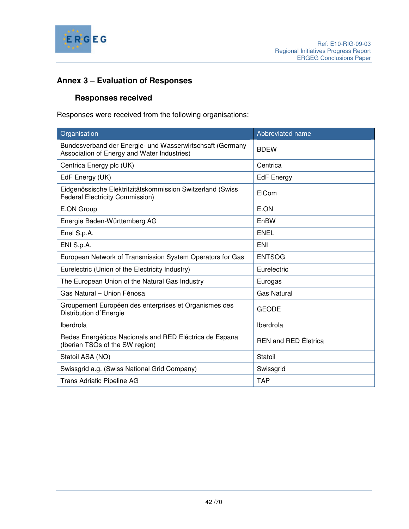

# **Annex 3 – Evaluation of Responses**

# **Responses received**

Responses were received from the following organisations:

| Organisation                                                                                             | Abbreviated name            |
|----------------------------------------------------------------------------------------------------------|-----------------------------|
| Bundesverband der Energie- und Wasserwirtschsaft (Germany<br>Association of Energy and Water Industries) | <b>BDEW</b>                 |
| Centrica Energy plc (UK)                                                                                 | Centrica                    |
| EdF Energy (UK)                                                                                          | <b>EdF</b> Energy           |
| Eidgenössische Elektritzitätskommission Switzerland (Swiss<br><b>Federal Electricity Commission)</b>     | EICom                       |
| E.ON Group                                                                                               | E.ON                        |
| Energie Baden-Württemberg AG                                                                             | EnBW                        |
| Enel S.p.A.                                                                                              | <b>ENEL</b>                 |
| ENI S.p.A.                                                                                               | <b>ENI</b>                  |
| European Network of Transmission System Operators for Gas                                                | <b>ENTSOG</b>               |
| Eurelectric (Union of the Electricity Industry)                                                          | Eurelectric                 |
| The European Union of the Natural Gas Industry                                                           | Eurogas                     |
| Gas Natural - Union Fénosa                                                                               | <b>Gas Natural</b>          |
| Groupement Européen des enterprises et Organismes des<br>Distribution d'Energie                          | <b>GEODE</b>                |
| Iberdrola                                                                                                | Iberdrola                   |
| Redes Energéticos Nacionals and RED Eléctrica de Espana<br>(Iberian TSOs of the SW region)               | <b>REN and RED Eletrica</b> |
| Statoil ASA (NO)                                                                                         | Statoil                     |
| Swissgrid a.g. (Swiss National Grid Company)                                                             | Swissgrid                   |
| Trans Adriatic Pipeline AG                                                                               | <b>TAP</b>                  |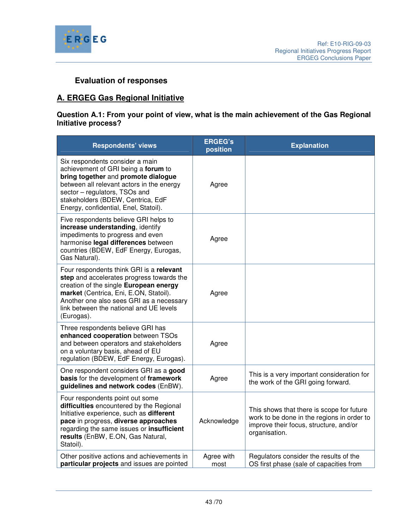

# **Evaluation of responses**

# **A. ERGEG Gas Regional Initiative**

## **Question A.1: From your point of view, what is the main achievement of the Gas Regional Initiative process?**

| <b>Respondents' views</b>                                                                                                                                                                                                                                                      | <b>ERGEG's</b><br>position | <b>Explanation</b>                                                                                                                                 |
|--------------------------------------------------------------------------------------------------------------------------------------------------------------------------------------------------------------------------------------------------------------------------------|----------------------------|----------------------------------------------------------------------------------------------------------------------------------------------------|
| Six respondents consider a main<br>achievement of GRI being a forum to<br>bring together and promote dialogue<br>between all relevant actors in the energy<br>sector - regulators, TSOs and<br>stakeholders (BDEW, Centrica, EdF<br>Energy, confidential, Enel, Statoil).      | Agree                      |                                                                                                                                                    |
| Five respondents believe GRI helps to<br>increase understanding, identify<br>impediments to progress and even<br>harmonise legal differences between<br>countries (BDEW, EdF Energy, Eurogas,<br>Gas Natural).                                                                 | Agree                      |                                                                                                                                                    |
| Four respondents think GRI is a relevant<br>step and accelerates progress towards the<br>creation of the single European energy<br>market (Centrica, Eni, E.ON, Statoil).<br>Another one also sees GRI as a necessary<br>link between the national and UE levels<br>(Eurogas). | Agree                      |                                                                                                                                                    |
| Three respondents believe GRI has<br>enhanced cooperation between TSOs<br>and between operators and stakeholders<br>on a voluntary basis, ahead of EU<br>regulation (BDEW, EdF Energy, Eurogas).                                                                               | Agree                      |                                                                                                                                                    |
| One respondent considers GRI as a good<br>basis for the development of framework<br>guidelines and network codes (EnBW).                                                                                                                                                       | Agree                      | This is a very important consideration for<br>the work of the GRI going forward.                                                                   |
| Four respondents point out some<br>difficulties encountered by the Regional<br>Initiative experience, such as different<br>pace in progress, diverse approaches<br>regarding the same issues or insufficient<br>results (EnBW, E.ON, Gas Natural,<br>Statoil).                 | Acknowledge                | This shows that there is scope for future<br>work to be done in the regions in order to<br>improve their focus, structure, and/or<br>organisation. |
| Other positive actions and achievements in<br>particular projects and issues are pointed                                                                                                                                                                                       | Agree with<br>most         | Regulators consider the results of the<br>OS first phase (sale of capacities from                                                                  |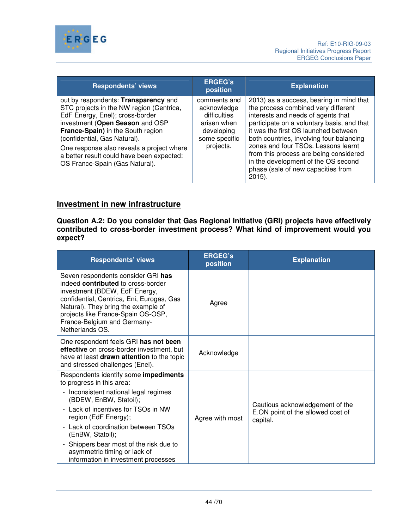

| <b>Respondents' views</b>                                                                                                                                                                                                                                                                                                                               | <b>ERGEG's</b><br>position                                                                             | <b>Explanation</b>                                                                                                                                                                                                                                                                                                                                                                                                                 |
|---------------------------------------------------------------------------------------------------------------------------------------------------------------------------------------------------------------------------------------------------------------------------------------------------------------------------------------------------------|--------------------------------------------------------------------------------------------------------|------------------------------------------------------------------------------------------------------------------------------------------------------------------------------------------------------------------------------------------------------------------------------------------------------------------------------------------------------------------------------------------------------------------------------------|
| out by respondents: Transparency and<br>STC projects in the NW region (Centrica,<br>EdF Energy, Enel); cross-border<br>investment (Open Season and OSP<br>France-Spain) in the South region<br>(confidential, Gas Natural).<br>One response also reveals a project where<br>a better result could have been expected:<br>OS France-Spain (Gas Natural). | comments and<br>acknowledge<br>difficulties<br>arisen when<br>developing<br>some specific<br>projects. | 2013) as a success, bearing in mind that<br>the process combined very different<br>interests and needs of agents that<br>participate on a voluntary basis, and that<br>it was the first OS launched between<br>both countries, involving four balancing<br>zones and four TSOs. Lessons learnt<br>from this process are being considered<br>in the development of the OS second<br>phase (sale of new capacities from<br>$2015$ ). |

# **Investment in new infrastructure**

**Question A.2: Do you consider that Gas Regional Initiative (GRI) projects have effectively contributed to cross-border investment process? What kind of improvement would you expect?** 

| <b>Respondents' views</b>                                                                                                                                                                                                                                                                                                                                                         | <b>ERGEG's</b><br>position | <b>Explanation</b>                                                               |
|-----------------------------------------------------------------------------------------------------------------------------------------------------------------------------------------------------------------------------------------------------------------------------------------------------------------------------------------------------------------------------------|----------------------------|----------------------------------------------------------------------------------|
| Seven respondents consider GRI has<br>indeed contributed to cross-border<br>investment (BDEW, EdF Energy,<br>confidential, Centrica, Eni, Eurogas, Gas<br>Natural). They bring the example of<br>projects like France-Spain OS-OSP,<br>France-Belgium and Germany-<br>Netherlands OS.                                                                                             | Agree                      |                                                                                  |
| One respondent feels GRI has not been<br>effective on cross-border investment, but<br>have at least drawn attention to the topic<br>and stressed challenges (Enel).                                                                                                                                                                                                               | Acknowledge                |                                                                                  |
| Respondents identify some impediments<br>to progress in this area:<br>- Inconsistent national legal regimes<br>(BDEW, EnBW, Statoil);<br>- Lack of incentives for TSOs in NW<br>region (EdF Energy);<br>- Lack of coordination between TSOs<br>(EnBW, Statoil);<br>- Shippers bear most of the risk due to<br>asymmetric timing or lack of<br>information in investment processes | Agree with most            | Cautious acknowledgement of the<br>E.ON point of the allowed cost of<br>capital. |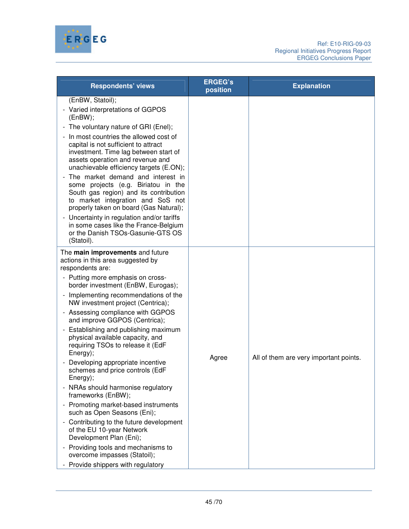

| <b>Respondents' views</b>                                                                                                                                                                                                                                                                                                                                                                                                                                                                                                                                                                                                                                                                                                                                                                                                                                                       | <b>ERGEG's</b><br>position | <b>Explanation</b>                     |
|---------------------------------------------------------------------------------------------------------------------------------------------------------------------------------------------------------------------------------------------------------------------------------------------------------------------------------------------------------------------------------------------------------------------------------------------------------------------------------------------------------------------------------------------------------------------------------------------------------------------------------------------------------------------------------------------------------------------------------------------------------------------------------------------------------------------------------------------------------------------------------|----------------------------|----------------------------------------|
| (EnBW, Statoil);<br>- Varied interpretations of GGPOS<br>(EnBW);<br>The voluntary nature of GRI (Enel);<br>In most countries the allowed cost of<br>capital is not sufficient to attract<br>investment. Time lag between start of<br>assets operation and revenue and<br>unachievable efficiency targets (E.ON);<br>The market demand and interest in<br>some projects (e.g. Biriatou in the<br>South gas region) and its contribution<br>to market integration and SoS not<br>properly taken on board (Gas Natural);<br>Uncertainty in regulation and/or tariffs<br>in some cases like the France-Belgium<br>or the Danish TSOs-Gasunie-GTS OS<br>(Statoil).                                                                                                                                                                                                                   |                            |                                        |
| The main improvements and future<br>actions in this area suggested by<br>respondents are:<br>- Putting more emphasis on cross-<br>border investment (EnBW, Eurogas);<br>Implementing recommendations of the<br>NW investment project (Centrica);<br>Assessing compliance with GGPOS<br>and improve GGPOS (Centrica);<br>Establishing and publishing maximum<br>physical available capacity, and<br>requiring TSOs to release it (EdF<br>Energy);<br>Developing appropriate incentive<br>schemes and price controls (EdF<br>Energy);<br>NRAs should harmonise regulatory<br>frameworks (EnBW);<br>Promoting market-based instruments<br>such as Open Seasons (Eni);<br>Contributing to the future development<br>of the EU 10-year Network<br>Development Plan (Eni);<br>Providing tools and mechanisms to<br>overcome impasses (Statoil);<br>- Provide shippers with regulatory | Agree                      | All of them are very important points. |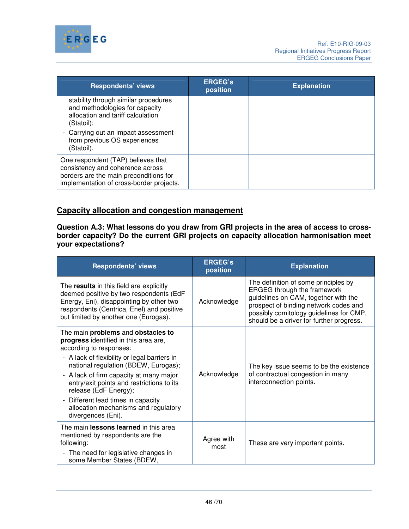

| <b>Respondents' views</b>                                                                                                                                    | <b>ERGEG's</b><br>position | <b>Explanation</b> |
|--------------------------------------------------------------------------------------------------------------------------------------------------------------|----------------------------|--------------------|
| stability through similar procedures<br>and methodologies for capacity<br>allocation and tariff calculation<br>(Statoil);                                    |                            |                    |
| Carrying out an impact assessment<br>from previous OS experiences<br>(Statoil).                                                                              |                            |                    |
| One respondent (TAP) believes that<br>consistency and coherence across<br>borders are the main preconditions for<br>implementation of cross-border projects. |                            |                    |

# **Capacity allocation and congestion management**

**Question A.3: What lessons do you draw from GRI projects in the area of access to crossborder capacity? Do the current GRI projects on capacity allocation harmonisation meet your expectations?** 

| <b>Respondents' views</b>                                                                                                                                                                                                                                                                                                                                                                                              | <b>ERGEG's</b><br>position | <b>Explanation</b>                                                                                                                                                                                                                                 |
|------------------------------------------------------------------------------------------------------------------------------------------------------------------------------------------------------------------------------------------------------------------------------------------------------------------------------------------------------------------------------------------------------------------------|----------------------------|----------------------------------------------------------------------------------------------------------------------------------------------------------------------------------------------------------------------------------------------------|
| The results in this field are explicitly<br>deemed positive by two respondents (EdF<br>Energy, Eni), disappointing by other two<br>respondents (Centrica, Enel) and positive<br>but limited by another one (Eurogas).                                                                                                                                                                                                  | Acknowledge                | The definition of some principles by<br><b>ERGEG through the framework</b><br>guidelines on CAM, together with the<br>prospect of binding network codes and<br>possibly comitology guidelines for CMP,<br>should be a driver for further progress. |
| The main problems and obstacles to<br>progress identified in this area are,<br>according to responses:<br>- A lack of flexibility or legal barriers in<br>national regulation (BDEW, Eurogas);<br>- A lack of firm capacity at many major<br>entry/exit points and restrictions to its<br>release (EdF Energy);<br>Different lead times in capacity<br>-<br>allocation mechanisms and regulatory<br>divergences (Eni). | Acknowledge                | The key issue seems to be the existence<br>of contractual congestion in many<br>interconnection points.                                                                                                                                            |
| The main lessons learned in this area<br>mentioned by respondents are the<br>following:<br>- The need for legislative changes in<br>some Member States (BDEW,                                                                                                                                                                                                                                                          | Agree with<br>most         | These are very important points.                                                                                                                                                                                                                   |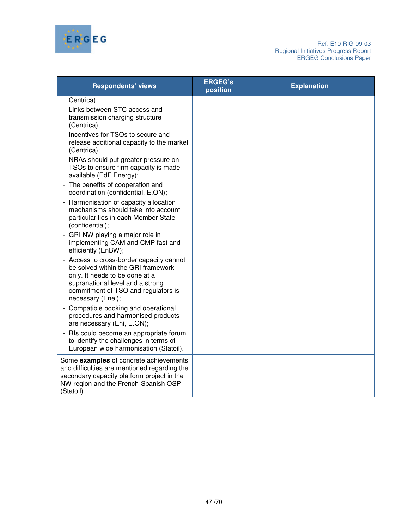

| <b>Respondents' views</b>                                                                                                                                                                                      | <b>ERGEG's</b><br>position | <b>Explanation</b> |
|----------------------------------------------------------------------------------------------------------------------------------------------------------------------------------------------------------------|----------------------------|--------------------|
| Centrica);                                                                                                                                                                                                     |                            |                    |
| Links between STC access and<br>transmission charging structure<br>(Centrica);                                                                                                                                 |                            |                    |
| Incentives for TSOs to secure and<br>release additional capacity to the market<br>$(Centrica)$ ;                                                                                                               |                            |                    |
| - NRAs should put greater pressure on<br>TSOs to ensure firm capacity is made<br>available (EdF Energy);                                                                                                       |                            |                    |
| - The benefits of cooperation and<br>coordination (confidential, E.ON);                                                                                                                                        |                            |                    |
| Harmonisation of capacity allocation<br>mechanisms should take into account<br>particularities in each Member State<br>(confidential);                                                                         |                            |                    |
| GRI NW playing a major role in<br>implementing CAM and CMP fast and<br>efficiently (EnBW);                                                                                                                     |                            |                    |
| Access to cross-border capacity cannot<br>be solved within the GRI framework<br>only. It needs to be done at a<br>supranational level and a strong<br>commitment of TSO and regulators is<br>necessary (Enel); |                            |                    |
| Compatible booking and operational<br>procedures and harmonised products<br>are necessary (Eni, E.ON);                                                                                                         |                            |                    |
| RIs could become an appropriate forum<br>to identify the challenges in terms of<br>European wide harmonisation (Statoil).                                                                                      |                            |                    |
| Some examples of concrete achievements<br>and difficulties are mentioned regarding the<br>secondary capacity platform project in the<br>NW region and the French-Spanish OSP<br>(Statoil).                     |                            |                    |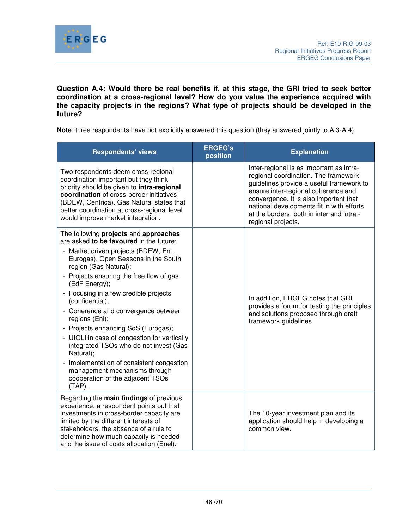

**Question A.4: Would there be real benefits if, at this stage, the GRI tried to seek better coordination at a cross-regional level? How do you value the experience acquired with the capacity projects in the regions? What type of projects should be developed in the future?** 

**Note**: three respondents have not explicitly answered this question (they answered jointly to A.3-A.4).

| <b>Respondents' views</b>                                                                                                                                                                                                                                                                                                                                                                                                                                                                                                                                                                                                                                            | <b>ERGEG's</b><br>position | <b>Explanation</b>                                                                                                                                                                                                                                                                                                            |
|----------------------------------------------------------------------------------------------------------------------------------------------------------------------------------------------------------------------------------------------------------------------------------------------------------------------------------------------------------------------------------------------------------------------------------------------------------------------------------------------------------------------------------------------------------------------------------------------------------------------------------------------------------------------|----------------------------|-------------------------------------------------------------------------------------------------------------------------------------------------------------------------------------------------------------------------------------------------------------------------------------------------------------------------------|
| Two respondents deem cross-regional<br>coordination important but they think<br>priority should be given to intra-regional<br>coordination of cross-border initiatives<br>(BDEW, Centrica). Gas Natural states that<br>better coordination at cross-regional level<br>would improve market integration.                                                                                                                                                                                                                                                                                                                                                              |                            | Inter-regional is as important as intra-<br>regional coordination. The framework<br>guidelines provide a useful framework to<br>ensure inter-regional coherence and<br>convergence. It is also important that<br>national developments fit in with efforts<br>at the borders, both in inter and intra -<br>regional projects. |
| The following projects and approaches<br>are asked to be favoured in the future:<br>- Market driven projects (BDEW, Eni,<br>Eurogas). Open Seasons in the South<br>region (Gas Natural);<br>- Projects ensuring the free flow of gas<br>(EdF Energy);<br>Focusing in a few credible projects<br>(confidential);<br>Coherence and convergence between<br>regions (Eni);<br>Projects enhancing SoS (Eurogas);<br>$\qquad \qquad -$<br>- UIOLI in case of congestion for vertically<br>integrated TSOs who do not invest (Gas<br>Natural);<br>Implementation of consistent congestion<br>management mechanisms through<br>cooperation of the adjacent TSOs<br>$(TAP)$ . |                            | In addition, ERGEG notes that GRI<br>provides a forum for testing the principles<br>and solutions proposed through draft<br>framework guidelines.                                                                                                                                                                             |
| Regarding the main findings of previous<br>experience, a respondent points out that<br>investments in cross-border capacity are<br>limited by the different interests of<br>stakeholders, the absence of a rule to<br>determine how much capacity is needed<br>and the issue of costs allocation (Enel).                                                                                                                                                                                                                                                                                                                                                             |                            | The 10-year investment plan and its<br>application should help in developing a<br>common view.                                                                                                                                                                                                                                |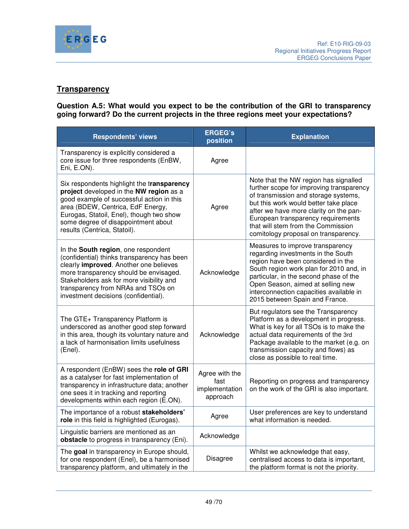

# **Transparency**

**Question A.5: What would you expect to be the contribution of the GRI to transparency going forward? Do the current projects in the three regions meet your expectations?** 

| <b>Respondents' views</b>                                                                                                                                                                                                                                                                        | <b>ERGEG's</b><br>position                           | <b>Explanation</b>                                                                                                                                                                                                                                                                                                               |
|--------------------------------------------------------------------------------------------------------------------------------------------------------------------------------------------------------------------------------------------------------------------------------------------------|------------------------------------------------------|----------------------------------------------------------------------------------------------------------------------------------------------------------------------------------------------------------------------------------------------------------------------------------------------------------------------------------|
| Transparency is explicitly considered a<br>core issue for three respondents (EnBW,<br>Eni, E.ON).                                                                                                                                                                                                | Agree                                                |                                                                                                                                                                                                                                                                                                                                  |
| Six respondents highlight the transparency<br>project developed in the NW region as a<br>good example of successful action in this<br>area (BDEW, Centrica, EdF Energy,<br>Eurogas, Statoil, Enel), though two show<br>some degree of disappointment about<br>results (Centrica, Statoil).       | Agree                                                | Note that the NW region has signalled<br>further scope for improving transparency<br>of transmission and storage systems,<br>but this work would better take place<br>after we have more clarity on the pan-<br>European transparency requirements<br>that will stem from the Commission<br>comitology proposal on transparency. |
| In the South region, one respondent<br>(confidential) thinks transparency has been<br>clearly improved. Another one believes<br>more transparency should be envisaged.<br>Stakeholders ask for more visibility and<br>transparency from NRAs and TSOs on<br>investment decisions (confidential). | Acknowledge                                          | Measures to improve transparency<br>regarding investments in the South<br>region have been considered in the<br>South region work plan for 2010 and, in<br>particular, in the second phase of the<br>Open Season, aimed at selling new<br>interconnection capacities available in<br>2015 between Spain and France.              |
| The GTE+ Transparency Platform is<br>underscored as another good step forward<br>in this area, though its voluntary nature and<br>a lack of harmonisation limits usefulness<br>(Enel).                                                                                                           | Acknowledge                                          | But regulators see the Transparency<br>Platform as a development in progress.<br>What is key for all TSOs is to make the<br>actual data requirements of the 3rd<br>Package available to the market (e.g. on<br>transmission capacity and flows) as<br>close as possible to real time.                                            |
| A respondent (EnBW) sees the role of GRI<br>as a catalyser for fast implementation of<br>transparency in infrastructure data; another<br>one sees it in tracking and reporting<br>developments within each region (E.ON).                                                                        | Agree with the<br>fast<br>implementation<br>approach | Reporting on progress and transparency<br>on the work of the GRI is also important.                                                                                                                                                                                                                                              |
| The importance of a robust stakeholders'<br>role in this field is highlighted (Eurogas).                                                                                                                                                                                                         | Agree                                                | User preferences are key to understand<br>what information is needed.                                                                                                                                                                                                                                                            |
| Linguistic barriers are mentioned as an<br>obstacle to progress in transparency (Eni).                                                                                                                                                                                                           | Acknowledge                                          |                                                                                                                                                                                                                                                                                                                                  |
| The goal in transparency in Europe should,<br>for one respondent (Enel), be a harmonised<br>transparency platform, and ultimately in the                                                                                                                                                         | <b>Disagree</b>                                      | Whilst we acknowledge that easy,<br>centralised access to data is important,<br>the platform format is not the priority.                                                                                                                                                                                                         |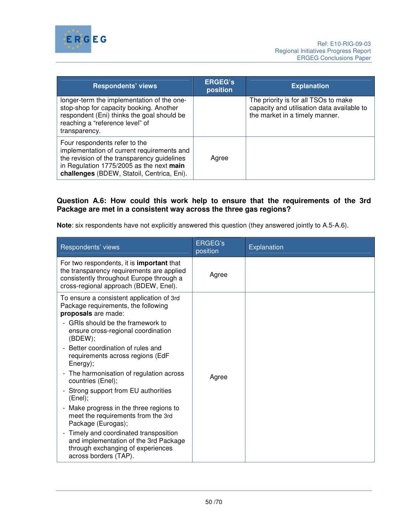

| <b>Respondents' views</b>                                                                                                                                                                                            | <b>ERGEG's</b><br>position | <b>Explanation</b>                                                                                                   |
|----------------------------------------------------------------------------------------------------------------------------------------------------------------------------------------------------------------------|----------------------------|----------------------------------------------------------------------------------------------------------------------|
| longer-term the implementation of the one-<br>stop-shop for capacity booking. Another<br>respondent (Eni) thinks the goal should be<br>reaching a "reference level" of<br>transparency.                              |                            | The priority is for all TSOs to make<br>capacity and utilisation data available to<br>the market in a timely manner. |
| Four respondents refer to the<br>implementation of current requirements and<br>the revision of the transparency guidelines<br>in Regulation 1775/2005 as the next main<br>challenges (BDEW, Statoil, Centrica, Eni). | Agree                      |                                                                                                                      |

## **Question A.6: How could this work help to ensure that the requirements of the 3rd Package are met in a consistent way across the three gas regions?**

**Note**: six respondents have not explicitly answered this question (they answered jointly to A.5-A.6).

| Respondents' views                                                                                                                                                                 | <b>ERGEG's</b><br>position | Explanation |
|------------------------------------------------------------------------------------------------------------------------------------------------------------------------------------|----------------------------|-------------|
| For two respondents, it is <b>important</b> that<br>the transparency requirements are applied<br>consistently throughout Europe through a<br>cross-regional approach (BDEW, Enel). | Agree                      |             |
| To ensure a consistent application of 3rd<br>Package requirements, the following<br>proposals are made:                                                                            |                            |             |
| GRIs should be the framework to<br>ensure cross-regional coordination<br>(BDEW);                                                                                                   |                            |             |
| Better coordination of rules and<br>$\overline{a}$<br>requirements across regions (EdF<br>Energy);                                                                                 |                            |             |
| The harmonisation of regulation across<br>$\overline{\phantom{0}}$<br>countries (Enel);                                                                                            | Agree                      |             |
| Strong support from EU authorities<br>$\overline{\phantom{0}}$<br>(Enel);                                                                                                          |                            |             |
| Make progress in the three regions to<br>$\overline{a}$<br>meet the requirements from the 3rd<br>Package (Eurogas);                                                                |                            |             |
| Timely and coordinated transposition<br>$\overline{a}$<br>and implementation of the 3rd Package<br>through exchanging of experiences<br>across borders (TAP).                      |                            |             |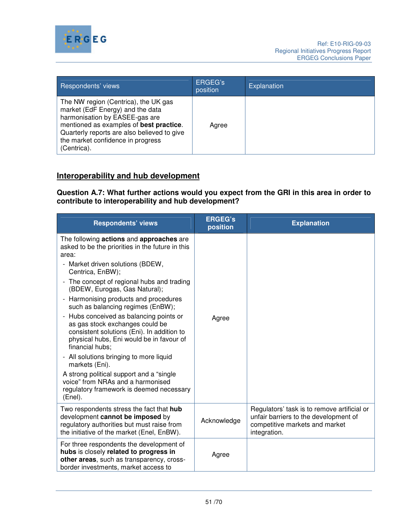

| Respondents' views                                                                                                                                                                                                                                       | ERGEG's<br>position | Explanation |
|----------------------------------------------------------------------------------------------------------------------------------------------------------------------------------------------------------------------------------------------------------|---------------------|-------------|
| The NW region (Centrica), the UK gas<br>market (EdF Energy) and the data<br>harmonisation by EASEE-gas are<br>mentioned as examples of best practice.<br>Quarterly reports are also believed to give<br>the market confidence in progress<br>(Centrica). | Agree               |             |

# **Interoperability and hub development**

**Question A.7: What further actions would you expect from the GRI in this area in order to contribute to interoperability and hub development?**

| <b>Respondents' views</b>                                                                                                                                                                                                                                                                                                                                                                                                                                                                                                                                                                                                                                                                                             | <b>ERGEG's</b><br>position | <b>Explanation</b>                                                                                                                     |
|-----------------------------------------------------------------------------------------------------------------------------------------------------------------------------------------------------------------------------------------------------------------------------------------------------------------------------------------------------------------------------------------------------------------------------------------------------------------------------------------------------------------------------------------------------------------------------------------------------------------------------------------------------------------------------------------------------------------------|----------------------------|----------------------------------------------------------------------------------------------------------------------------------------|
| The following actions and approaches are<br>asked to be the priorities in the future in this<br>area:<br>Market driven solutions (BDEW,<br>Centrica, EnBW);<br>- The concept of regional hubs and trading<br>(BDEW, Eurogas, Gas Natural);<br>Harmonising products and procedures<br>such as balancing regimes (EnBW);<br>Hubs conceived as balancing points or<br>as gas stock exchanges could be<br>consistent solutions (Eni). In addition to<br>physical hubs, Eni would be in favour of<br>financial hubs;<br>- All solutions bringing to more liquid<br>markets (Eni).<br>A strong political support and a "single"<br>voice" from NRAs and a harmonised<br>regulatory framework is deemed necessary<br>(Enel). | Agree                      |                                                                                                                                        |
| Two respondents stress the fact that hub<br>development cannot be imposed by<br>regulatory authorities but must raise from<br>the initiative of the market (Enel, EnBW).                                                                                                                                                                                                                                                                                                                                                                                                                                                                                                                                              | Acknowledge                | Regulators' task is to remove artificial or<br>unfair barriers to the development of<br>competitive markets and market<br>integration. |
| For three respondents the development of<br>hubs is closely related to progress in<br>other areas, such as transparency, cross-<br>border investments, market access to                                                                                                                                                                                                                                                                                                                                                                                                                                                                                                                                               | Agree                      |                                                                                                                                        |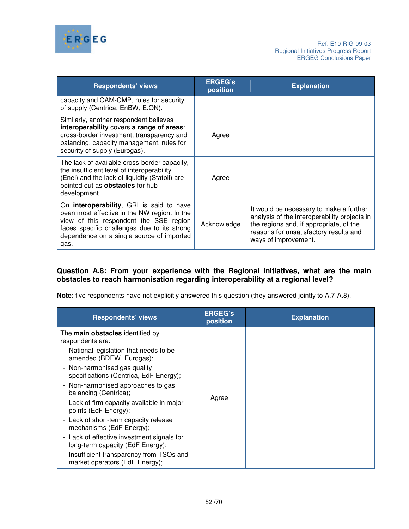

| <b>Respondents' views</b>                                                                                                                                                                                                              | <b>ERGEG's</b><br>position | <b>Explanation</b>                                                                                                                                                                                   |
|----------------------------------------------------------------------------------------------------------------------------------------------------------------------------------------------------------------------------------------|----------------------------|------------------------------------------------------------------------------------------------------------------------------------------------------------------------------------------------------|
| capacity and CAM-CMP, rules for security<br>of supply (Centrica, EnBW, E.ON).                                                                                                                                                          |                            |                                                                                                                                                                                                      |
| Similarly, another respondent believes<br>interoperability covers a range of areas:<br>cross-border investment, transparency and<br>balancing, capacity management, rules for<br>security of supply (Eurogas).                         | Agree                      |                                                                                                                                                                                                      |
| The lack of available cross-border capacity,<br>the insufficient level of interoperability<br>(Enel) and the lack of liquidity (Statoil) are<br>pointed out as obstacles for hub<br>development.                                       | Agree                      |                                                                                                                                                                                                      |
| On interoperability, GRI is said to have<br>been most effective in the NW region. In the<br>view of this respondent the SSE region<br>faces specific challenges due to its strong<br>dependence on a single source of imported<br>gas. | Acknowledge                | It would be necessary to make a further<br>analysis of the interoperability projects in<br>the regions and, if appropriate, of the<br>reasons for unsatisfactory results and<br>ways of improvement. |

## **Question A.8: From your experience with the Regional Initiatives, what are the main obstacles to reach harmonisation regarding interoperability at a regional level?**

**Note**: five respondents have not explicitly answered this question (they answered jointly to A.7-A.8).

| <b>Respondents' views</b>                                                                              | <b>ERGEG's</b><br>position | <b>Explanation</b> |
|--------------------------------------------------------------------------------------------------------|----------------------------|--------------------|
| The <b>main obstacles</b> identified by<br>respondents are:<br>- National legislation that needs to be |                            |                    |
| amended (BDEW, Eurogas);                                                                               | Agree                      |                    |
| - Non-harmonised gas quality<br>specifications (Centrica, EdF Energy);                                 |                            |                    |
| - Non-harmonised approaches to gas<br>balancing (Centrica);                                            |                            |                    |
| - Lack of firm capacity available in major<br>points (EdF Energy);                                     |                            |                    |
| - Lack of short-term capacity release<br>mechanisms (EdF Energy);                                      |                            |                    |
| - Lack of effective investment signals for<br>long-term capacity (EdF Energy);                         |                            |                    |
| Insufficient transparency from TSOs and<br>market operators (EdF Energy);                              |                            |                    |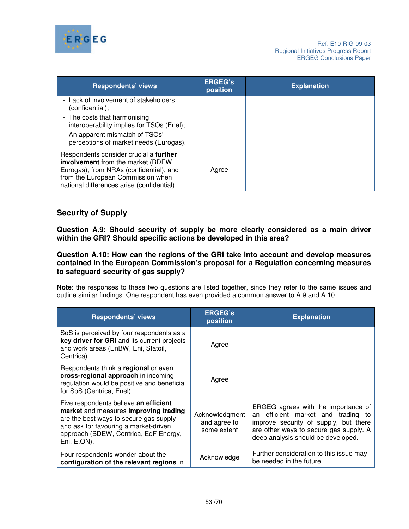

| <b>Respondents' views</b>                                                                                                                                                                                  | <b>ERGEG's</b><br>position | <b>Explanation</b> |
|------------------------------------------------------------------------------------------------------------------------------------------------------------------------------------------------------------|----------------------------|--------------------|
| - Lack of involvement of stakeholders<br>(confidential);                                                                                                                                                   |                            |                    |
| - The costs that harmonising<br>interoperability implies for TSOs (Enel);                                                                                                                                  |                            |                    |
| - An apparent mismatch of TSOs'<br>perceptions of market needs (Eurogas).                                                                                                                                  |                            |                    |
| Respondents consider crucial a further<br>involvement from the market (BDEW,<br>Eurogas), from NRAs (confidential), and<br>from the European Commission when<br>national differences arise (confidential). | Agree                      |                    |

# **Security of Supply**

**Question A.9: Should security of supply be more clearly considered as a main driver within the GRI? Should specific actions be developed in this area?** 

**Question A.10: How can the regions of the GRI take into account and develop measures contained in the European Commission's proposal for a Regulation concerning measures to safeguard security of gas supply?** 

**Note**: the responses to these two questions are listed together, since they refer to the same issues and outline similar findings. One respondent has even provided a common answer to A.9 and A.10.

| <b>Respondents' views</b>                                                                                                                                                                                                 | <b>ERGEG's</b><br>position                    | <b>Explanation</b>                                                                                                                                                                                    |
|---------------------------------------------------------------------------------------------------------------------------------------------------------------------------------------------------------------------------|-----------------------------------------------|-------------------------------------------------------------------------------------------------------------------------------------------------------------------------------------------------------|
| SoS is perceived by four respondents as a<br>key driver for GRI and its current projects<br>and work areas (EnBW, Eni, Statoil,<br>Centrica).                                                                             | Agree                                         |                                                                                                                                                                                                       |
| Respondents think a regional or even<br>cross-regional approach in incoming<br>regulation would be positive and beneficial<br>for SoS (Centrica, Enel).                                                                   | Agree                                         |                                                                                                                                                                                                       |
| Five respondents believe an efficient<br>market and measures improving trading<br>are the best ways to secure gas supply<br>and ask for favouring a market-driven<br>approach (BDEW, Centrica, EdF Energy,<br>Eni, E.ON). | Acknowledgment<br>and agree to<br>some extent | ERGEG agrees with the importance of<br>efficient market and trading to<br>an<br>improve security of supply, but there<br>are other ways to secure gas supply. A<br>deep analysis should be developed. |
| Four respondents wonder about the<br>configuration of the relevant regions in                                                                                                                                             | Acknowledge                                   | Further consideration to this issue may<br>be needed in the future.                                                                                                                                   |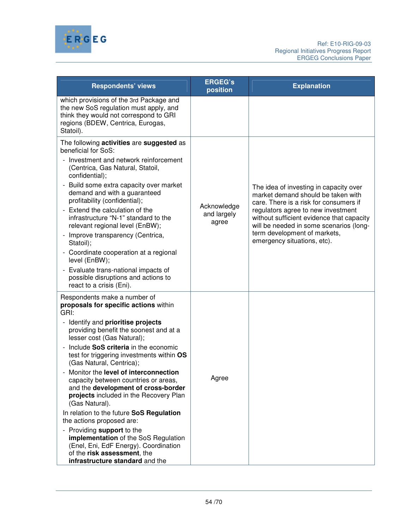

| <b>Respondents' views</b>                                                                                                                                                         | <b>ERGEG's</b><br>position          | <b>Explanation</b>                                                                                                         |
|-----------------------------------------------------------------------------------------------------------------------------------------------------------------------------------|-------------------------------------|----------------------------------------------------------------------------------------------------------------------------|
| which provisions of the 3rd Package and<br>the new SoS regulation must apply, and<br>think they would not correspond to GRI<br>regions (BDEW, Centrica, Eurogas,<br>Statoil).     |                                     |                                                                                                                            |
| The following activities are suggested as<br>beneficial for SoS:                                                                                                                  |                                     |                                                                                                                            |
| Investment and network reinforcement<br>(Centrica, Gas Natural, Statoil,<br>confidential);                                                                                        |                                     |                                                                                                                            |
| Build some extra capacity over market<br>demand and with a guaranteed<br>profitability (confidential);                                                                            |                                     | The idea of investing in capacity over<br>market demand should be taken with<br>care. There is a risk for consumers if     |
| Extend the calculation of the<br>infrastructure "N-1" standard to the<br>relevant regional level (EnBW);                                                                          | Acknowledge<br>and largely<br>agree | regulators agree to new investment<br>without sufficient evidence that capacity<br>will be needed in some scenarios (long- |
| Improve transparency (Centrica,<br>Statoil);                                                                                                                                      |                                     | term development of markets,<br>emergency situations, etc).                                                                |
| Coordinate cooperation at a regional<br>level (EnBW);                                                                                                                             |                                     |                                                                                                                            |
| Evaluate trans-national impacts of<br>possible disruptions and actions to<br>react to a crisis (Eni).                                                                             |                                     |                                                                                                                            |
| Respondents make a number of<br>proposals for specific actions within<br>GRI:                                                                                                     |                                     |                                                                                                                            |
| - Identify and prioritise projects<br>providing benefit the soonest and at a<br>lesser cost (Gas Natural);                                                                        |                                     |                                                                                                                            |
| Include SoS criteria in the economic<br>test for triggering investments within OS<br>(Gas Natural, Centrica);                                                                     |                                     |                                                                                                                            |
| - Monitor the level of interconnection<br>capacity between countries or areas,<br>and the development of cross-border<br>projects included in the Recovery Plan<br>(Gas Natural). | Agree                               |                                                                                                                            |
| In relation to the future SoS Regulation<br>the actions proposed are:                                                                                                             |                                     |                                                                                                                            |
| - Providing support to the<br>implementation of the SoS Regulation<br>(Enel, Eni, EdF Energy). Coordination<br>of the risk assessment, the<br>infrastructure standard and the     |                                     |                                                                                                                            |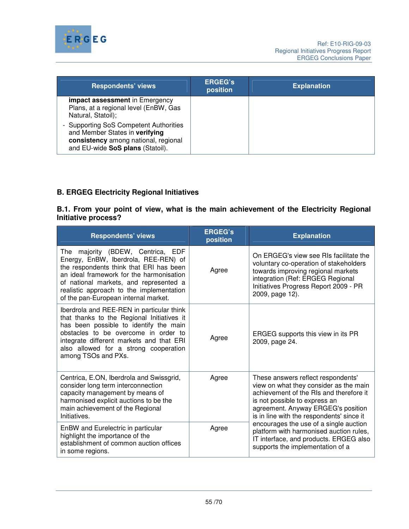

| <b>Respondents' views</b>                                                                                                                            | <b>ERGEG's</b><br>position | <b>Explanation</b> |
|------------------------------------------------------------------------------------------------------------------------------------------------------|----------------------------|--------------------|
| <b>impact assessment</b> in Emergency<br>Plans, at a regional level (EnBW, Gas<br>Natural, Statoil);                                                 |                            |                    |
| - Supporting SoS Competent Authorities<br>and Member States in verifying<br>consistency among national, regional<br>and EU-wide SoS plans (Statoil). |                            |                    |

# **B. ERGEG Electricity Regional Initiatives**

**B.1. From your point of view, what is the main achievement of the Electricity Regional Initiative process?** 

| <b>Respondents' views</b>                                                                                                                                                                                                                                                                      | <b>ERGEG's</b><br>position | <b>Explanation</b>                                                                                                                                                                                                                          |
|------------------------------------------------------------------------------------------------------------------------------------------------------------------------------------------------------------------------------------------------------------------------------------------------|----------------------------|---------------------------------------------------------------------------------------------------------------------------------------------------------------------------------------------------------------------------------------------|
| The majority (BDEW, Centrica, EDF<br>Energy, EnBW, Iberdrola, REE-REN) of<br>the respondents think that ERI has been<br>an ideal framework for the harmonisation<br>of national markets, and represented a<br>realistic approach to the implementation<br>of the pan-European internal market. | Agree                      | On ERGEG's view see RIs facilitate the<br>voluntary co-operation of stakeholders<br>towards improving regional markets<br>integration (Ref: ERGEG Regional<br>Initiatives Progress Report 2009 - PR<br>2009, page 12).                      |
| Iberdrola and REE-REN in particular think<br>that thanks to the Regional Initiatives it<br>has been possible to identify the main<br>obstacles to be overcome in order to<br>integrate different markets and that ERI<br>also allowed for a strong cooperation<br>among TSOs and PXs.          | Agree                      | ERGEG supports this view in its PR<br>2009, page 24.                                                                                                                                                                                        |
| Centrica, E.ON, Iberdrola and Swissgrid,<br>consider long term interconnection<br>capacity management by means of<br>harmonised explicit auctions to be the<br>main achievement of the Regional<br>Initiatives.                                                                                | Agree                      | These answers reflect respondents'<br>view on what they consider as the main<br>achievement of the RIs and therefore it<br>is not possible to express an<br>agreement. Anyway ERGEG's position<br>is in line with the respondents' since it |
| EnBW and Eurelectric in particular<br>highlight the importance of the<br>establishment of common auction offices<br>in some regions.                                                                                                                                                           | Agree                      | encourages the use of a single auction<br>platform with harmonised auction rules,<br>IT interface, and products. ERGEG also<br>supports the implementation of a                                                                             |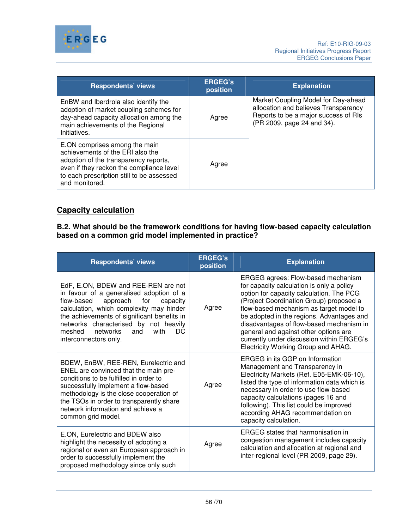

| <b>Respondents' views</b>                                                                                                                                                                                             | <b>ERGEG's</b><br>position | <b>Explanation</b>                                                                                                                                |
|-----------------------------------------------------------------------------------------------------------------------------------------------------------------------------------------------------------------------|----------------------------|---------------------------------------------------------------------------------------------------------------------------------------------------|
| EnBW and Iberdrola also identify the<br>adoption of market coupling schemes for<br>day-ahead capacity allocation among the<br>main achievements of the Regional<br>Initiatives.                                       | Agree                      | Market Coupling Model for Day-ahead<br>allocation and believes Transparency<br>Reports to be a major success of RIs<br>(PR 2009, page 24 and 34). |
| E.ON comprises among the main<br>achievements of the ERI also the<br>adoption of the transparency reports,<br>even if they reckon the compliance level<br>to each prescription still to be assessed<br>and monitored. | Agree                      |                                                                                                                                                   |

# **Capacity calculation**

#### **B.2. What should be the framework conditions for having flow-based capacity calculation based on a common grid model implemented in practice?**

| <b>Respondents' views</b>                                                                                                                                                                                                                                                                                                             | <b>ERGEG's</b><br>position | <b>Explanation</b>                                                                                                                                                                                                                                                                                                                                                                                                                      |
|---------------------------------------------------------------------------------------------------------------------------------------------------------------------------------------------------------------------------------------------------------------------------------------------------------------------------------------|----------------------------|-----------------------------------------------------------------------------------------------------------------------------------------------------------------------------------------------------------------------------------------------------------------------------------------------------------------------------------------------------------------------------------------------------------------------------------------|
| EdF, E.ON, BDEW and REE-REN are not<br>in favour of a generalised adoption of a<br>flow-based<br>approach<br>for<br>capacity<br>calculation, which complexity may hinder<br>the achievements of significant benefits in<br>networks characterised by not heavily<br>networks<br>meshed<br>and<br>with<br>DC.<br>interconnectors only. | Agree                      | ERGEG agrees: Flow-based mechanism<br>for capacity calculation is only a policy<br>option for capacity calculation. The PCG<br>(Project Coordination Group) proposed a<br>flow-based mechanism as target model to<br>be adopted in the regions. Advantages and<br>disadvantages of flow-based mechanism in<br>general and against other options are<br>currently under discussion within ERGEG's<br>Electricity Working Group and AHAG. |
| BDEW, EnBW, REE-REN, Eurelectric and<br>ENEL are convinced that the main pre-<br>conditions to be fulfilled in order to<br>successfully implement a flow-based<br>methodology is the close cooperation of<br>the TSOs in order to transparently share<br>network information and achieve a<br>common grid model.                      | Agree                      | ERGEG in its GGP on Information<br>Management and Transparency in<br>Electricity Markets (Ref. E05-EMK-06-10),<br>listed the type of information data which is<br>necessary in order to use flow-based<br>capacity calculations (pages 16 and<br>following). This list could be improved<br>according AHAG recommendation on<br>capacity calculation.                                                                                   |
| E.ON, Eurelectric and BDEW also<br>highlight the necessity of adopting a<br>regional or even an European approach in<br>order to successfully implement the<br>proposed methodology since only such                                                                                                                                   | Agree                      | <b>ERGEG</b> states that harmonisation in<br>congestion management includes capacity<br>calculation and allocation at regional and<br>inter-regional level (PR 2009, page 29).                                                                                                                                                                                                                                                          |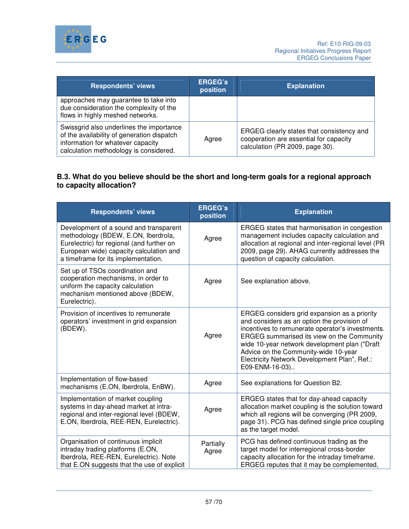

| <b>Respondents' views</b>                                                                                                                                             | <b>ERGEG's</b><br>position | <b>Explanation</b>                                                                                                     |
|-----------------------------------------------------------------------------------------------------------------------------------------------------------------------|----------------------------|------------------------------------------------------------------------------------------------------------------------|
| approaches may guarantee to take into<br>due consideration the complexity of the<br>flows in highly meshed networks.                                                  |                            |                                                                                                                        |
| Swissgrid also underlines the importance<br>of the availability of generation dispatch<br>information for whatever capacity<br>calculation methodology is considered. | Agree                      | ERGEG clearly states that consistency and<br>cooperation are essential for capacity<br>calculation (PR 2009, page 30). |

# **B.3. What do you believe should be the short and long-term goals for a regional approach to capacity allocation?**

| <b>Respondents' views</b>                                                                                                                                                                                    | <b>ERGEG's</b><br>position | <b>Explanation</b>                                                                                                                                                                                                                                                                                                                                        |
|--------------------------------------------------------------------------------------------------------------------------------------------------------------------------------------------------------------|----------------------------|-----------------------------------------------------------------------------------------------------------------------------------------------------------------------------------------------------------------------------------------------------------------------------------------------------------------------------------------------------------|
| Development of a sound and transparent<br>methodology (BDEW, E.ON, Iberdrola,<br>Eurelectric) for regional (and further on<br>European wide) capacity calculation and<br>a timeframe for its implementation. | Agree                      | ERGEG states that harmonisation in congestion<br>management includes capacity calculation and<br>allocation at regional and inter-regional level (PR<br>2009, page 29). AHAG currently addresses the<br>question of capacity calculation.                                                                                                                 |
| Set up of TSOs coordination and<br>cooperation mechanisms, in order to<br>uniform the capacity calculation<br>mechanism mentioned above (BDEW,<br>Eurelectric).                                              | Agree                      | See explanation above.                                                                                                                                                                                                                                                                                                                                    |
| Provision of incentives to remunerate<br>operators' investment in grid expansion<br>(BDEW).                                                                                                                  | Agree                      | ERGEG considers grid expansion as a priority<br>and considers as an option the provision of<br>incentives to remunerate operator's investments.<br>ERGEG summarised its view on the Community<br>wide 10-year network development plan ("Draft"<br>Advice on the Community-wide 10-year<br>Electricity Network Development Plan", Ref.:<br>E09-ENM-16-03) |
| Implementation of flow-based<br>mechanisms (E.ON, Iberdrola, EnBW).                                                                                                                                          | Agree                      | See explanations for Question B2.                                                                                                                                                                                                                                                                                                                         |
| Implementation of market coupling<br>systems in day-ahead market at intra-<br>regional and inter-regional level (BDEW,<br>E.ON, Iberdrola, REE-REN, Eurelectric).                                            | Agree                      | ERGEG states that for day-ahead capacity<br>allocation market coupling is the solution toward<br>which all regions will be converging (PR 2009,<br>page 31). PCG has defined single price coupling<br>as the target model.                                                                                                                                |
| Organisation of continuous implicit<br>intraday trading platforms (E.ON,<br>Iberdrola, REE-REN, Eurelectric). Note<br>that E.ON suggests that the use of explicit                                            | Partially<br>Agree         | PCG has defined continuous trading as the<br>target model for interregional cross-border<br>capacity allocation for the intraday timeframe.<br>ERGEG reputes that it may be complemented,                                                                                                                                                                 |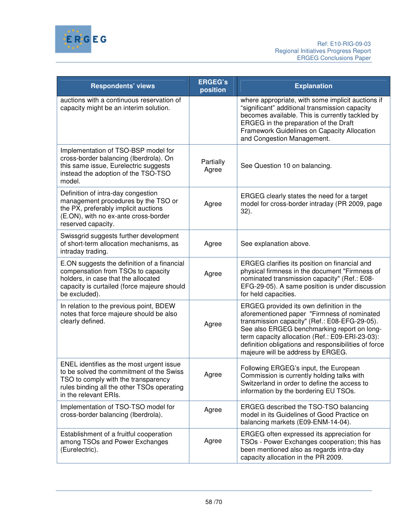

| <b>Respondents' views</b>                                                                                                                                                                          | <b>ERGEG's</b><br>position | <b>Explanation</b>                                                                                                                                                                                                                                                                                                                      |
|----------------------------------------------------------------------------------------------------------------------------------------------------------------------------------------------------|----------------------------|-----------------------------------------------------------------------------------------------------------------------------------------------------------------------------------------------------------------------------------------------------------------------------------------------------------------------------------------|
| auctions with a continuous reservation of<br>capacity might be an interim solution.                                                                                                                |                            | where appropriate, with some implicit auctions if<br>"significant" additional transmission capacity<br>becomes available. This is currently tackled by<br>ERGEG in the preparation of the Draft<br>Framework Guidelines on Capacity Allocation<br>and Congestion Management.                                                            |
| Implementation of TSO-BSP model for<br>cross-border balancing (Iberdrola). On<br>this same issue, Eurelectric suggests<br>instead the adoption of the TSO-TSO<br>model.                            | Partially<br>Agree         | See Question 10 on balancing.                                                                                                                                                                                                                                                                                                           |
| Definition of intra-day congestion<br>management procedures by the TSO or<br>the PX, preferably implicit auctions<br>(E.ON), with no ex-ante cross-border<br>reserved capacity.                    | Agree                      | ERGEG clearly states the need for a target<br>model for cross-border intraday (PR 2009, page<br>$32$ ).                                                                                                                                                                                                                                 |
| Swissgrid suggests further development<br>of short-term allocation mechanisms, as<br>intraday trading.                                                                                             | Agree                      | See explanation above.                                                                                                                                                                                                                                                                                                                  |
| E.ON suggests the definition of a financial<br>compensation from TSOs to capacity<br>holders, in case that the allocated<br>capacity is curtailed (force majeure should<br>be excluded).           | Agree                      | ERGEG clarifies its position on financial and<br>physical firmness in the document "Firmness of<br>nominated transmission capacity" (Ref.: E08-<br>EFG-29-05). A same position is under discussion<br>for held capacities.                                                                                                              |
| In relation to the previous point, BDEW<br>notes that force majeure should be also<br>clearly defined.                                                                                             | Agree                      | ERGEG provided its own definition in the<br>aforementioned paper "Firmness of nominated<br>transmission capacity" (Ref.: E08-EFG-29-05).<br>See also ERGEG benchmarking report on long-<br>term capacity allocation (Ref.: E09-ERI-23-03):<br>definition obligations and responsibilities of force<br>majeure will be address by ERGEG. |
| ENEL identifies as the most urgent issue<br>to be solved the commitment of the Swiss<br>TSO to comply with the transparency<br>rules binding all the other TSOs operating<br>in the relevant ERIs. | Agree                      | Following ERGEG's input, the European<br>Commission is currently holding talks with<br>Switzerland in order to define the access to<br>information by the bordering EU TSOs.                                                                                                                                                            |
| Implementation of TSO-TSO model for<br>cross-border balancing (Iberdrola).                                                                                                                         | Agree                      | ERGEG described the TSO-TSO balancing<br>model in its Guidelines of Good Practice on<br>balancing markets (E09-ENM-14-04).                                                                                                                                                                                                              |
| Establishment of a fruitful cooperation<br>among TSOs and Power Exchanges<br>(Eurelectric).                                                                                                        | Agree                      | ERGEG often expressed its appreciation for<br>TSOs - Power Exchanges cooperation; this has<br>been mentioned also as regards intra-day<br>capacity allocation in the PR 2009.                                                                                                                                                           |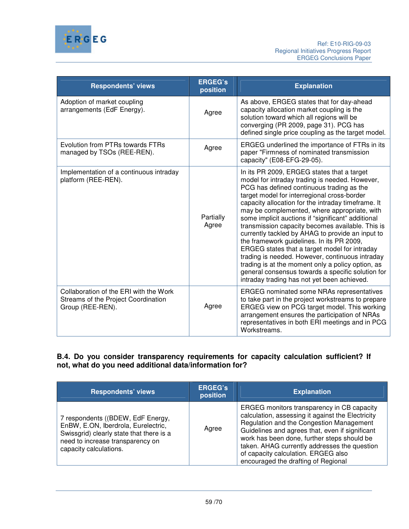

| <b>Respondents' views</b>                                                                         | <b>ERGEG's</b><br>position | <b>Explanation</b>                                                                                                                                                                                                                                                                                                                                                                                                                                                                                                                                                                                                                                                                                                                                                     |
|---------------------------------------------------------------------------------------------------|----------------------------|------------------------------------------------------------------------------------------------------------------------------------------------------------------------------------------------------------------------------------------------------------------------------------------------------------------------------------------------------------------------------------------------------------------------------------------------------------------------------------------------------------------------------------------------------------------------------------------------------------------------------------------------------------------------------------------------------------------------------------------------------------------------|
| Adoption of market coupling<br>arrangements (EdF Energy).                                         | Agree                      | As above, ERGEG states that for day-ahead<br>capacity allocation market coupling is the<br>solution toward which all regions will be<br>converging (PR 2009, page 31). PCG has<br>defined single price coupling as the target model.                                                                                                                                                                                                                                                                                                                                                                                                                                                                                                                                   |
| Evolution from PTRs towards FTRs<br>managed by TSOs (REE-REN).                                    | Agree                      | ERGEG underlined the importance of FTRs in its<br>paper "Firmness of nominated transmission<br>capacity" (E08-EFG-29-05).                                                                                                                                                                                                                                                                                                                                                                                                                                                                                                                                                                                                                                              |
| Implementation of a continuous intraday<br>platform (REE-REN).                                    | Partially<br>Agree         | In its PR 2009, ERGEG states that a target<br>model for intraday trading is needed. However,<br>PCG has defined continuous trading as the<br>target model for interregional cross-border<br>capacity allocation for the intraday timeframe. It<br>may be complemented, where appropriate, with<br>some implicit auctions if "significant" additional<br>transmission capacity becomes available. This is<br>currently tackled by AHAG to provide an input to<br>the framework guidelines. In its PR 2009,<br>ERGEG states that a target model for intraday<br>trading is needed. However, continuous intraday<br>trading is at the moment only a policy option, as<br>general consensus towards a specific solution for<br>intraday trading has not yet been achieved. |
| Collaboration of the ERI with the Work<br>Streams of the Project Coordination<br>Group (REE-REN). | Agree                      | <b>ERGEG</b> nominated some NRAs representatives<br>to take part in the project workstreams to prepare<br>ERGEG view on PCG target model. This working<br>arrangement ensures the participation of NRAs<br>representatives in both ERI meetings and in PCG<br>Workstreams.                                                                                                                                                                                                                                                                                                                                                                                                                                                                                             |

## **B.4. Do you consider transparency requirements for capacity calculation sufficient? If not, what do you need additional data/information for?**

| <b>Respondents' views</b>                                                                                                                                                          | <b>ERGEG's</b><br>position | <b>Explanation</b>                                                                                                                                                                                                                                                                                                                                                          |
|------------------------------------------------------------------------------------------------------------------------------------------------------------------------------------|----------------------------|-----------------------------------------------------------------------------------------------------------------------------------------------------------------------------------------------------------------------------------------------------------------------------------------------------------------------------------------------------------------------------|
| 7 respondents ((BDEW, EdF Energy,<br>EnBW, E.ON, Iberdrola, Eurelectric,<br>Swissgrid) clearly state that there is a<br>need to increase transparency on<br>capacity calculations. | Agree                      | ERGEG monitors transparency in CB capacity<br>calculation, assessing it against the Electricity<br>Regulation and the Congestion Management<br>Guidelines and agrees that, even if significant<br>work has been done, further steps should be<br>taken. AHAG currently addresses the question<br>of capacity calculation. ERGEG also<br>encouraged the drafting of Regional |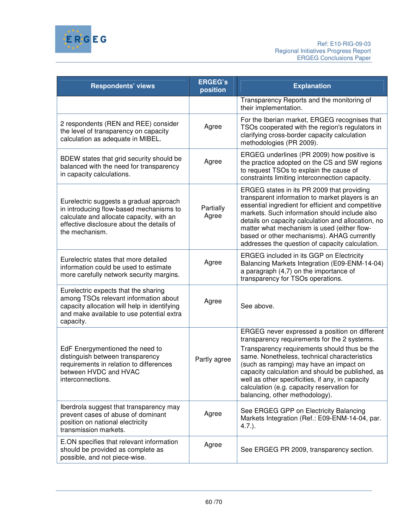

| <b>Respondents' views</b>                                                                                                                                                                     | <b>ERGEG's</b><br>position | <b>Explanation</b>                                                                                                                                                                                                                                                                                                                                                                                                               |
|-----------------------------------------------------------------------------------------------------------------------------------------------------------------------------------------------|----------------------------|----------------------------------------------------------------------------------------------------------------------------------------------------------------------------------------------------------------------------------------------------------------------------------------------------------------------------------------------------------------------------------------------------------------------------------|
|                                                                                                                                                                                               |                            | Transparency Reports and the monitoring of<br>their implementation.                                                                                                                                                                                                                                                                                                                                                              |
| 2 respondents (REN and REE) consider<br>the level of transparency on capacity<br>calculation as adequate in MIBEL.                                                                            | Agree                      | For the Iberian market, ERGEG recognises that<br>TSOs cooperated with the region's regulators in<br>clarifying cross-border capacity calculation<br>methodologies (PR 2009).                                                                                                                                                                                                                                                     |
| BDEW states that grid security should be<br>balanced with the need for transparency<br>in capacity calculations.                                                                              | Agree                      | ERGEG underlines (PR 2009) how positive is<br>the practice adopted on the CS and SW regions<br>to request TSOs to explain the cause of<br>constraints limiting interconnection capacity.                                                                                                                                                                                                                                         |
| Eurelectric suggests a gradual approach<br>in introducing flow-based mechanisms to<br>calculate and allocate capacity, with an<br>effective disclosure about the details of<br>the mechanism. | Partially<br>Agree         | ERGEG states in its PR 2009 that providing<br>transparent information to market players is an<br>essential ingredient for efficient and competitive<br>markets. Such information should include also<br>details on capacity calculation and allocation, no<br>matter what mechanism is used (either flow-<br>based or other mechanisms). AHAG currently<br>addresses the question of capacity calculation.                       |
| Eurelectric states that more detailed<br>information could be used to estimate<br>more carefully network security margins.                                                                    | Agree                      | ERGEG included in its GGP on Electricity<br>Balancing Markets Integration (E09-ENM-14-04)<br>a paragraph $(4,7)$ on the importance of<br>transparency for TSOs operations.                                                                                                                                                                                                                                                       |
| Eurelectric expects that the sharing<br>among TSOs relevant information about<br>capacity allocation will help in identifying<br>and make available to use potential extra<br>capacity.       | Agree                      | See above.                                                                                                                                                                                                                                                                                                                                                                                                                       |
| EdF Energymentioned the need to<br>distinguish between transparency<br>requirements in relation to differences<br>between HVDC and HVAC<br>interconnections.                                  | Partly agree               | ERGEG never expressed a position on different<br>transparency requirements for the 2 systems.<br>Transparency requirements should thus be the<br>same. Nonetheless, technical characteristics<br>(such as ramping) may have an impact on<br>capacity calculation and should be published, as<br>well as other specificities, if any, in capacity<br>calculation (e.g. capacity reservation for<br>balancing, other methodology). |
| Iberdrola suggest that transparency may<br>prevent cases of abuse of dominant<br>position on national electricity<br>transmission markets.                                                    | Agree                      | See ERGEG GPP on Electricity Balancing<br>Markets Integration (Ref.: E09-ENM-14-04, par.<br>$4.7.$ ).                                                                                                                                                                                                                                                                                                                            |
| E.ON specifies that relevant information<br>should be provided as complete as<br>possible, and not piece-wise.                                                                                | Agree                      | See ERGEG PR 2009, transparency section.                                                                                                                                                                                                                                                                                                                                                                                         |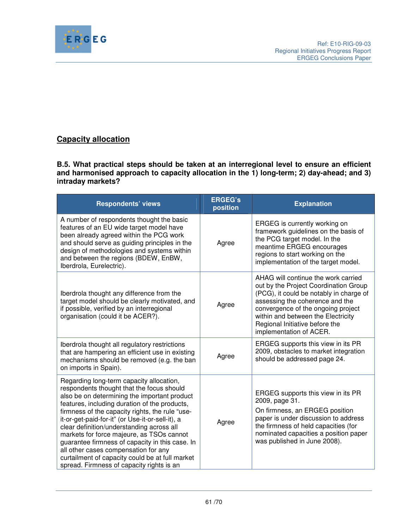

# **Capacity allocation**

**B.5. What practical steps should be taken at an interregional level to ensure an efficient and harmonised approach to capacity allocation in the 1) long-term; 2) day-ahead; and 3) intraday markets?** 

| <b>Respondents' views</b>                                                                                                                                                                                                                                                                                                                                                                                                                                                                                                                                                          | <b>ERGEG's</b><br>position | <b>Explanation</b>                                                                                                                                                                                                                                                                                  |
|------------------------------------------------------------------------------------------------------------------------------------------------------------------------------------------------------------------------------------------------------------------------------------------------------------------------------------------------------------------------------------------------------------------------------------------------------------------------------------------------------------------------------------------------------------------------------------|----------------------------|-----------------------------------------------------------------------------------------------------------------------------------------------------------------------------------------------------------------------------------------------------------------------------------------------------|
| A number of respondents thought the basic<br>features of an EU wide target model have<br>been already agreed within the PCG work<br>and should serve as guiding principles in the<br>design of methodologies and systems within<br>and between the regions (BDEW, EnBW,<br>Iberdrola, Eurelectric).                                                                                                                                                                                                                                                                                | Agree                      | ERGEG is currently working on<br>framework guidelines on the basis of<br>the PCG target model. In the<br>meantime ERGEG encourages<br>regions to start working on the<br>implementation of the target model.                                                                                        |
| Iberdrola thought any difference from the<br>target model should be clearly motivated, and<br>if possible, verified by an interregional<br>organisation (could it be ACER?).                                                                                                                                                                                                                                                                                                                                                                                                       | Agree                      | AHAG will continue the work carried<br>out by the Project Coordination Group<br>(PCG), it could be notably in charge of<br>assessing the coherence and the<br>convergence of the ongoing project<br>within and between the Electricity<br>Regional Initiative before the<br>implementation of ACER. |
| Iberdrola thought all regulatory restrictions<br>that are hampering an efficient use in existing<br>mechanisms should be removed (e.g. the ban<br>on imports in Spain).                                                                                                                                                                                                                                                                                                                                                                                                            | Agree                      | ERGEG supports this view in its PR<br>2009, obstacles to market integration<br>should be addressed page 24.                                                                                                                                                                                         |
| Regarding long-term capacity allocation,<br>respondents thought that the focus should<br>also be on determining the important product<br>features, including duration of the products,<br>firmness of the capacity rights, the rule "use-<br>it-or-get-paid-for-it" (or Use-it-or-sell-it), a<br>clear definition/understanding across all<br>markets for force majeure, as TSOs cannot<br>guarantee firmness of capacity in this case. In<br>all other cases compensation for any<br>curtailment of capacity could be at full market<br>spread. Firmness of capacity rights is an | Agree                      | ERGEG supports this view in its PR<br>2009, page 31.<br>On firmness, an ERGEG position<br>paper is under discussion to address<br>the firmness of held capacities (for<br>nominated capacities a position paper<br>was published in June 2008).                                                     |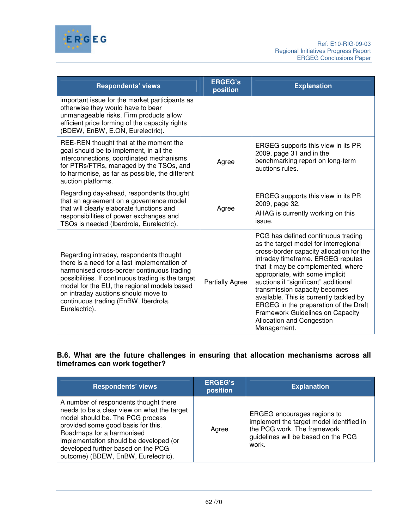

| <b>Respondents' views</b>                                                                                                                                                                                                                                                                                                                  | <b>ERGEG's</b><br>position | <b>Explanation</b>                                                                                                                                                                                                                                                                                                                                                                                                                                                                 |
|--------------------------------------------------------------------------------------------------------------------------------------------------------------------------------------------------------------------------------------------------------------------------------------------------------------------------------------------|----------------------------|------------------------------------------------------------------------------------------------------------------------------------------------------------------------------------------------------------------------------------------------------------------------------------------------------------------------------------------------------------------------------------------------------------------------------------------------------------------------------------|
| important issue for the market participants as<br>otherwise they would have to bear<br>unmanageable risks. Firm products allow<br>efficient price forming of the capacity rights<br>(BDEW, EnBW, E.ON, Eurelectric).                                                                                                                       |                            |                                                                                                                                                                                                                                                                                                                                                                                                                                                                                    |
| REE-REN thought that at the moment the<br>goal should be to implement, in all the<br>interconnections, coordinated mechanisms<br>for PTRs/FTRs, managed by the TSOs, and<br>to harmonise, as far as possible, the different<br>auction platforms.                                                                                          | Agree                      | ERGEG supports this view in its PR<br>2009, page 31 and in the<br>benchmarking report on long-term<br>auctions rules.                                                                                                                                                                                                                                                                                                                                                              |
| Regarding day-ahead, respondents thought<br>that an agreement on a governance model<br>that will clearly elaborate functions and<br>responsibilities of power exchanges and<br>TSOs is needed (Iberdrola, Eurelectric).                                                                                                                    | Agree                      | ERGEG supports this view in its PR<br>2009, page 32.<br>AHAG is currently working on this<br>issue.                                                                                                                                                                                                                                                                                                                                                                                |
| Regarding intraday, respondents thought<br>there is a need for a fast implementation of<br>harmonised cross-border continuous trading<br>possibilities. If continuous trading is the target<br>model for the EU, the regional models based<br>on intraday auctions should move to<br>continuous trading (EnBW, Iberdrola,<br>Eurelectric). | <b>Partially Agree</b>     | PCG has defined continuous trading<br>as the target model for interregional<br>cross-border capacity allocation for the<br>intraday timeframe. ERGEG reputes<br>that it may be complemented, where<br>appropriate, with some implicit<br>auctions if "significant" additional<br>transmission capacity becomes<br>available. This is currently tackled by<br>ERGEG in the preparation of the Draft<br>Framework Guidelines on Capacity<br>Allocation and Congestion<br>Management. |

# **B.6. What are the future challenges in ensuring that allocation mechanisms across all timeframes can work together?**

| <b>Respondents' views</b>                                                                                                                                                                                                                                                                                          | <b>ERGEG's</b><br>position | <b>Explanation</b>                                                                                                                                     |
|--------------------------------------------------------------------------------------------------------------------------------------------------------------------------------------------------------------------------------------------------------------------------------------------------------------------|----------------------------|--------------------------------------------------------------------------------------------------------------------------------------------------------|
| A number of respondents thought there<br>needs to be a clear view on what the target<br>model should be. The PCG process<br>provided some good basis for this.<br>Roadmaps for a harmonised<br>implementation should be developed (or<br>developed further based on the PCG<br>outcome) (BDEW, EnBW, Eurelectric). | Agree                      | ERGEG encourages regions to<br>implement the target model identified in<br>the PCG work. The framework<br>guidelines will be based on the PCG<br>work. |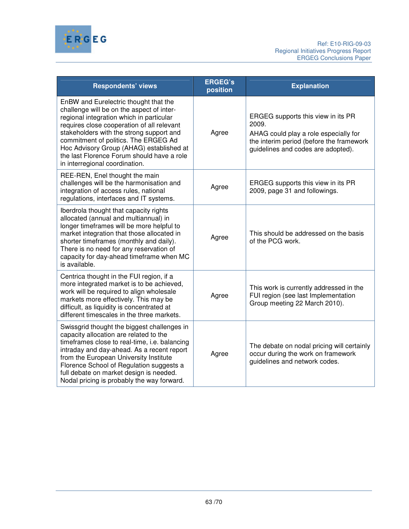

| <b>Respondents' views</b>                                                                                                                                                                                                                                                                                                                                                                    | <b>ERGEG's</b><br>position | <b>Explanation</b>                                                                                                                                                     |
|----------------------------------------------------------------------------------------------------------------------------------------------------------------------------------------------------------------------------------------------------------------------------------------------------------------------------------------------------------------------------------------------|----------------------------|------------------------------------------------------------------------------------------------------------------------------------------------------------------------|
| EnBW and Eurelectric thought that the<br>challenge will be on the aspect of inter-<br>regional integration which in particular<br>requires close cooperation of all relevant<br>stakeholders with the strong support and<br>commitment of politics. The ERGEG Ad<br>Hoc Advisory Group (AHAG) established at<br>the last Florence Forum should have a role<br>in interregional coordination. | Agree                      | ERGEG supports this view in its PR<br>2009.<br>AHAG could play a role especially for<br>the interim period (before the framework<br>guidelines and codes are adopted). |
| REE-REN, Enel thought the main<br>challenges will be the harmonisation and<br>integration of access rules, national<br>regulations, interfaces and IT systems.                                                                                                                                                                                                                               | Agree                      | ERGEG supports this view in its PR<br>2009, page 31 and followings.                                                                                                    |
| Iberdrola thought that capacity rights<br>allocated (annual and multiannual) in<br>longer timeframes will be more helpful to<br>market integration that those allocated in<br>shorter timeframes (monthly and daily).<br>There is no need for any reservation of<br>capacity for day-ahead timeframe when MC<br>is available.                                                                | Agree                      | This should be addressed on the basis<br>of the PCG work.                                                                                                              |
| Centrica thought in the FUI region, if a<br>more integrated market is to be achieved,<br>work will be required to align wholesale<br>markets more effectively. This may be<br>difficult, as liquidity is concentrated at<br>different timescales in the three markets.                                                                                                                       | Agree                      | This work is currently addressed in the<br>FUI region (see last Implementation<br>Group meeting 22 March 2010).                                                        |
| Swissgrid thought the biggest challenges in<br>capacity allocation are related to the<br>timeframes close to real-time, i.e. balancing<br>intraday and day-ahead. As a recent report<br>from the European University Institute<br>Florence School of Regulation suggests a<br>full debate on market design is needed.<br>Nodal pricing is probably the way forward.                          | Agree                      | The debate on nodal pricing will certainly<br>occur during the work on framework<br>guidelines and network codes.                                                      |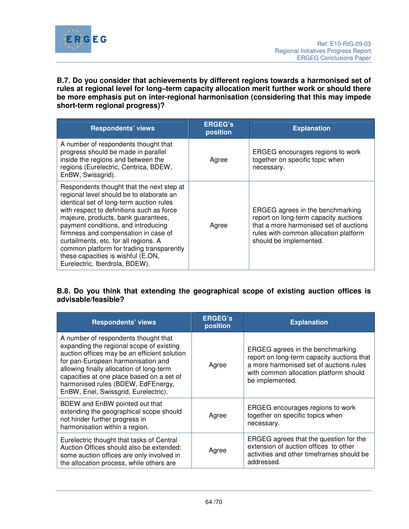

**B.7. Do you consider that achievements by different regions towards a harmonised set of rules at regional level for long–term capacity allocation merit further work or should there be more emphasis put on inter-regional harmonisation (considering that this may impede short-term regional progress)?** 

| <b>Respondents' views</b>                                                                                                                                                                                                                                                                                                                                                                                                                                          | <b>ERGEG's</b><br>position | <b>Explanation</b>                                                                                                                                                                     |
|--------------------------------------------------------------------------------------------------------------------------------------------------------------------------------------------------------------------------------------------------------------------------------------------------------------------------------------------------------------------------------------------------------------------------------------------------------------------|----------------------------|----------------------------------------------------------------------------------------------------------------------------------------------------------------------------------------|
| A number of respondents thought that<br>progress should be made in parallel<br>inside the regions and between the<br>regions (Eurelectric, Centrica, BDEW,<br>EnBW, Swissgrid).                                                                                                                                                                                                                                                                                    | Agree                      | ERGEG encourages regions to work<br>together on specific topic when<br>necessary.                                                                                                      |
| Respondents thought that the next step at<br>regional level should be to elaborate an<br>identical set of long-term auction rules<br>with respect to definitions such as force<br>majeure, products, bank guarantees,<br>payment conditions, and introducing<br>firmness and compensation in case of<br>curtailments, etc. for all regions. A<br>common platform for trading transparently<br>these capacities is wishful (E.ON,<br>Eurelectric, Iberdrola, BDEW). | Agree                      | ERGEG agrees in the benchmarking<br>report on long-term capacity auctions<br>that a more harmonised set of auctions<br>rules with common allocation platform<br>should be implemented. |

## **B.8. Do you think that extending the geographical scope of existing auction offices is advisable/feasible?**

| <b>Respondents' views</b>                                                                                                                                                                                                                                                                                                                     | <b>ERGEG's</b><br>position | <b>Explanation</b>                                                                                                                                                                     |
|-----------------------------------------------------------------------------------------------------------------------------------------------------------------------------------------------------------------------------------------------------------------------------------------------------------------------------------------------|----------------------------|----------------------------------------------------------------------------------------------------------------------------------------------------------------------------------------|
| A number of respondents thought that<br>expanding the regional scope of existing<br>auction offices may be an efficient solution<br>for pan-European harmonisation and<br>allowing finally allocation of long-term<br>capacities at one place based on a set of<br>harmonised rules (BDEW, EdFEnergy,<br>EnBW, Enel, Swissgrid, Eurelectric). | Agree                      | ERGEG agrees in the benchmarking<br>report on long-term capacity auctions that<br>a more harmonised set of auctions rules<br>with common allocation platform should<br>be implemented. |
| BDEW and EnBW pointed out that<br>extending the geographical scope should<br>not hinder further progress in<br>harmonisation within a region.                                                                                                                                                                                                 | Agree                      | ERGEG encourages regions to work<br>together on specific topics when<br>necessary.                                                                                                     |
| Eurelectric thought that tasks of Central<br>Auction Offices should also be extended:<br>some auction offices are only involved in<br>the allocation process, while others are                                                                                                                                                                | Agree                      | ERGEG agrees that the question for the<br>extension of auction offices to other<br>activities and other timeframes should be<br>addressed.                                             |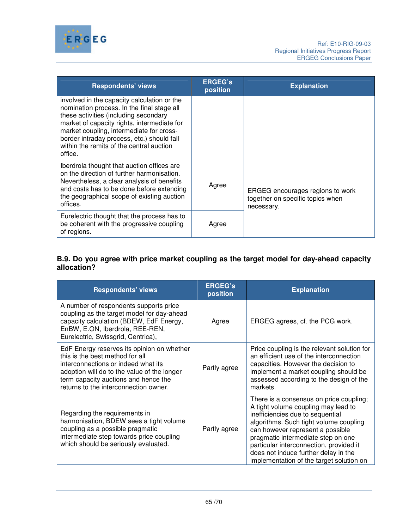

| <b>Respondents' views</b>                                                                                                                                                                                                                                                                                                          | <b>ERGEG's</b><br>position | <b>Explanation</b>                                                                 |
|------------------------------------------------------------------------------------------------------------------------------------------------------------------------------------------------------------------------------------------------------------------------------------------------------------------------------------|----------------------------|------------------------------------------------------------------------------------|
| involved in the capacity calculation or the<br>nomination process. In the final stage all<br>these activities (including secondary<br>market of capacity rights, intermediate for<br>market coupling, intermediate for cross-<br>border intraday process, etc.) should fall<br>within the remits of the central auction<br>office. |                            |                                                                                    |
| Iberdrola thought that auction offices are<br>on the direction of further harmonisation.<br>Nevertheless, a clear analysis of benefits<br>and costs has to be done before extending<br>the geographical scope of existing auction<br>offices.                                                                                      | Agree                      | ERGEG encourages regions to work<br>together on specific topics when<br>necessary. |
| Eurelectric thought that the process has to<br>be coherent with the progressive coupling<br>of regions.                                                                                                                                                                                                                            | Agree                      |                                                                                    |

## **B.9. Do you agree with price market coupling as the target model for day-ahead capacity allocation?**

| <b>Respondents' views</b>                                                                                                                                                                                                                            | <b>ERGEG's</b><br>position | <b>Explanation</b>                                                                                                                                                                                                                                                                                                                                                    |
|------------------------------------------------------------------------------------------------------------------------------------------------------------------------------------------------------------------------------------------------------|----------------------------|-----------------------------------------------------------------------------------------------------------------------------------------------------------------------------------------------------------------------------------------------------------------------------------------------------------------------------------------------------------------------|
| A number of respondents supports price<br>coupling as the target model for day-ahead<br>capacity calculation (BDEW, EdF Energy,<br>EnBW, E.ON, Iberdrola, REE-REN,<br>Eurelectric, Swissgrid, Centrica),                                             | Agree                      | ERGEG agrees, cf. the PCG work.                                                                                                                                                                                                                                                                                                                                       |
| EdF Energy reserves its opinion on whether<br>this is the best method for all<br>interconnections or indeed what its<br>adoption will do to the value of the longer<br>term capacity auctions and hence the<br>returns to the interconnection owner. | Partly agree               | Price coupling is the relevant solution for<br>an efficient use of the interconnection<br>capacities. However the decision to<br>implement a market coupling should be<br>assessed according to the design of the<br>markets.                                                                                                                                         |
| Regarding the requirements in<br>harmonisation, BDEW sees a tight volume<br>coupling as a possible pragmatic<br>intermediate step towards price coupling<br>which should be seriously evaluated.                                                     | Partly agree               | There is a consensus on price coupling;<br>A tight volume coupling may lead to<br>inefficiencies due to sequential<br>algorithms. Such tight volume coupling<br>can however represent a possible<br>pragmatic intermediate step on one<br>particular interconnection, provided it<br>does not induce further delay in the<br>implementation of the target solution on |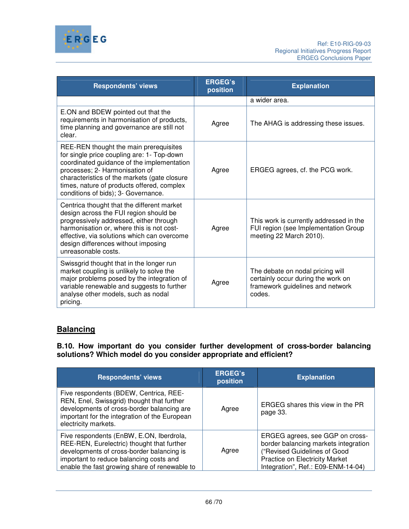

| <b>Respondents' views</b>                                                                                                                                                                                                                                                                                 | <b>ERGEG's</b><br>position | <b>Explanation</b>                                                                                                   |
|-----------------------------------------------------------------------------------------------------------------------------------------------------------------------------------------------------------------------------------------------------------------------------------------------------------|----------------------------|----------------------------------------------------------------------------------------------------------------------|
|                                                                                                                                                                                                                                                                                                           |                            | a wider area.                                                                                                        |
| E.ON and BDEW pointed out that the<br>requirements in harmonisation of products,<br>time planning and governance are still not<br>clear.                                                                                                                                                                  | Agree                      | The AHAG is addressing these issues.                                                                                 |
| REE-REN thought the main prerequisites<br>for single price coupling are: 1- Top-down<br>coordinated guidance of the implementation<br>processes; 2- Harmonisation of<br>characteristics of the markets (gate closure<br>times, nature of products offered, complex<br>conditions of bids); 3- Governance. | Agree                      | ERGEG agrees, cf. the PCG work.                                                                                      |
| Centrica thought that the different market<br>design across the FUI region should be<br>progressively addressed, either through<br>harmonisation or, where this is not cost-<br>effective, via solutions which can overcome<br>design differences without imposing<br>unreasonable costs.                 | Agree                      | This work is currently addressed in the<br>FUI region (see Implementation Group<br>meeting 22 March 2010).           |
| Swissgrid thought that in the longer run<br>market coupling is unlikely to solve the<br>major problems posed by the integration of<br>variable renewable and suggests to further<br>analyse other models, such as nodal<br>pricing.                                                                       | Agree                      | The debate on nodal pricing will<br>certainly occur during the work on<br>framework guidelines and network<br>codes. |

# **Balancing**

**B.10. How important do you consider further development of cross-border balancing solutions? Which model do you consider appropriate and efficient?** 

| <b>Respondents' views</b>                                                                                                                                                                                                       | <b>ERGEG's</b><br>position | <b>Explanation</b>                                                                                                                                                              |
|---------------------------------------------------------------------------------------------------------------------------------------------------------------------------------------------------------------------------------|----------------------------|---------------------------------------------------------------------------------------------------------------------------------------------------------------------------------|
| Five respondents (BDEW, Centrica, REE-<br>REN, Enel, Swissgrid) thought that further<br>developments of cross-border balancing are<br>important for the integration of the European<br>electricity markets.                     | Agree                      | ERGEG shares this view in the PR<br>page 33.                                                                                                                                    |
| Five respondents (EnBW, E.ON, Iberdrola,<br>REE-REN, Eurelectric) thought that further<br>developments of cross-border balancing is<br>important to reduce balancing costs and<br>enable the fast growing share of renewable to | Agree                      | ERGEG agrees, see GGP on cross-<br>border balancing markets integration<br>("Revised Guidelines of Good<br>Practice on Electricity Market<br>Integration", Ref.: E09-ENM-14-04) |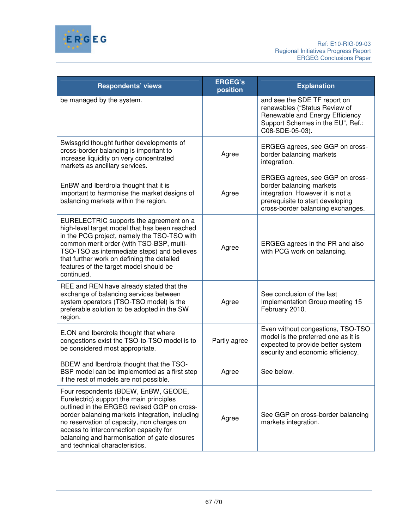

| <b>Respondents' views</b>                                                                                                                                                                                                                                                                                                                                    | <b>ERGEG's</b><br>position | <b>Explanation</b>                                                                                                                                                       |
|--------------------------------------------------------------------------------------------------------------------------------------------------------------------------------------------------------------------------------------------------------------------------------------------------------------------------------------------------------------|----------------------------|--------------------------------------------------------------------------------------------------------------------------------------------------------------------------|
| be managed by the system.                                                                                                                                                                                                                                                                                                                                    |                            | and see the SDE TF report on<br>renewables ("Status Review of<br>Renewable and Energy Efficiency<br>Support Schemes in the EU", Ref.:<br>C08-SDE-05-03).                 |
| Swissgrid thought further developments of<br>cross-border balancing is important to<br>increase liquidity on very concentrated<br>markets as ancillary services.                                                                                                                                                                                             | Agree                      | ERGEG agrees, see GGP on cross-<br>border balancing markets<br>integration.                                                                                              |
| EnBW and Iberdrola thought that it is<br>important to harmonise the market designs of<br>balancing markets within the region.                                                                                                                                                                                                                                | Agree                      | ERGEG agrees, see GGP on cross-<br>border balancing markets<br>integration. However it is not a<br>prerequisite to start developing<br>cross-border balancing exchanges. |
| EURELECTRIC supports the agreement on a<br>high-level target model that has been reached<br>in the PCG project, namely the TSO-TSO with<br>common merit order (with TSO-BSP, multi-<br>TSO-TSO as intermediate steps) and believes<br>that further work on defining the detailed<br>features of the target model should be<br>continued.                     | Agree                      | ERGEG agrees in the PR and also<br>with PCG work on balancing.                                                                                                           |
| REE and REN have already stated that the<br>exchange of balancing services between<br>system operators (TSO-TSO model) is the<br>preferable solution to be adopted in the SW<br>region.                                                                                                                                                                      | Agree                      | See conclusion of the last<br>Implementation Group meeting 15<br>February 2010.                                                                                          |
| E.ON and Iberdrola thought that where<br>congestions exist the TSO-to-TSO model is to<br>be considered most appropriate.                                                                                                                                                                                                                                     | Partly agree               | Even without congestions, TSO-TSO<br>model is the preferred one as it is<br>expected to provide better system<br>security and economic efficiency.                       |
| BDEW and Iberdrola thought that the TSO-<br>BSP model can be implemented as a first step<br>if the rest of models are not possible.                                                                                                                                                                                                                          | Agree                      | See below.                                                                                                                                                               |
| Four respondents (BDEW, EnBW, GEODE,<br>Eurelectric) support the main principles<br>outlined in the ERGEG revised GGP on cross-<br>border balancing markets integration, including<br>no reservation of capacity, non charges on<br>access to interconnection capacity for<br>balancing and harmonisation of gate closures<br>and technical characteristics. | Agree                      | See GGP on cross-border balancing<br>markets integration.                                                                                                                |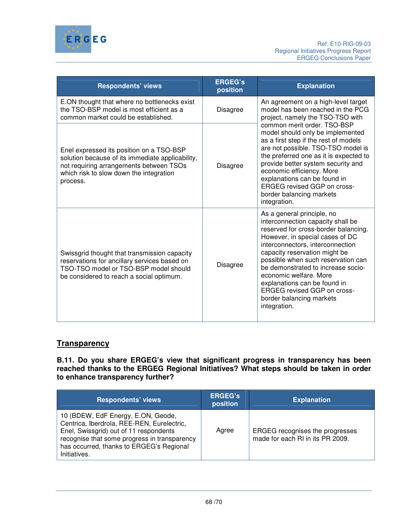

| <b>Respondents' views</b>                                                                                                                                                                      | <b>ERGEG's</b><br>position | <b>Explanation</b>                                                                                                                                                                                                                                                                                                                                                                                                                      |
|------------------------------------------------------------------------------------------------------------------------------------------------------------------------------------------------|----------------------------|-----------------------------------------------------------------------------------------------------------------------------------------------------------------------------------------------------------------------------------------------------------------------------------------------------------------------------------------------------------------------------------------------------------------------------------------|
| E.ON thought that where no bottlenecks exist<br>the TSO-BSP model is most efficient as a<br>common market could be established.                                                                | <b>Disagree</b>            | An agreement on a high-level target<br>model has been reached in the PCG<br>project, namely the TSO-TSO with                                                                                                                                                                                                                                                                                                                            |
| Enel expressed its position on a TSO-BSP<br>solution because of its immediate applicability,<br>not requiring arrangements between TSOs<br>which risk to slow down the integration<br>process. | <b>Disagree</b>            | common merit order, TSO-BSP<br>model should only be implemented<br>as a first step if the rest of models<br>are not possible. TSO-TSO model is<br>the preferred one as it is expected to<br>provide better system security and<br>economic efficiency. More<br>explanations can be found in<br><b>ERGEG revised GGP on cross-</b><br>border balancing markets<br>integration.                                                           |
| Swissgrid thought that transmission capacity<br>reservations for ancillary services based on<br>TSO-TSO model or TSO-BSP model should<br>be considered to reach a social optimum.              | <b>Disagree</b>            | As a general principle, no<br>interconnection capacity shall be<br>reserved for cross-border balancing.<br>However, in special cases of DC<br>interconnectors, interconnection<br>capacity reservation might be<br>possible when such reservation can<br>be demonstrated to increase socio-<br>economic welfare. More<br>explanations can be found in<br><b>ERGEG revised GGP on cross-</b><br>border balancing markets<br>integration. |

# **Transparency**

**B.11. Do you share ERGEG's view that significant progress in transparency has been reached thanks to the ERGEG Regional Initiatives? What steps should be taken in order to enhance transparency further?** 

| <b>Respondents' views</b>                                                                                                                                                                                                              | <b>ERGEG's</b><br>position | <b>Explanation</b>                                                         |
|----------------------------------------------------------------------------------------------------------------------------------------------------------------------------------------------------------------------------------------|----------------------------|----------------------------------------------------------------------------|
| 10 (BDEW, EdF Energy, E.ON, Geode,<br>Centrica, Iberdrola, REE-REN, Eurelectric,<br>Enel, Swissgrid) out of 11 respondents<br>recognise that some progress in transparency<br>has occurred, thanks to ERGEG's Regional<br>Initiatives. | Agree                      | <b>ERGEG</b> recognises the progresses<br>made for each RI in its PR 2009. |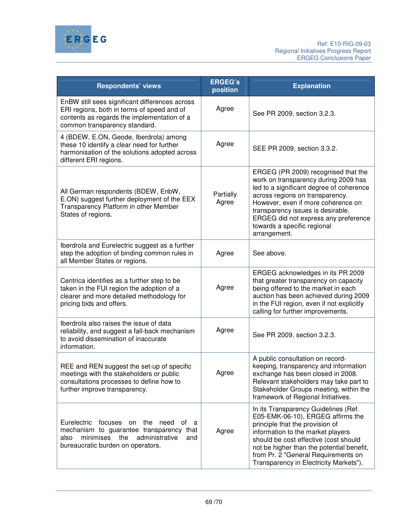

| <b>Respondents' views</b>                                                                                                                                                           | <b>ERGEG's</b><br>position | <b>Explanation</b>                                                                                                                                                                                                                                                                                                           |
|-------------------------------------------------------------------------------------------------------------------------------------------------------------------------------------|----------------------------|------------------------------------------------------------------------------------------------------------------------------------------------------------------------------------------------------------------------------------------------------------------------------------------------------------------------------|
| EnBW still sees significant differences across<br>ERI regions, both in terms of speed and of<br>contents as regards the implementation of a<br>common transparency standard.        | Agree                      | See PR 2009, section 3.2.3.                                                                                                                                                                                                                                                                                                  |
| 4 (BDEW, E.ON, Geode, Iberdrola) among<br>these 10 identify a clear need for further<br>harmonisation of the solutions adopted across<br>different ERI regions.                     | Agree                      | SEE PR 2009, section 3.3.2.                                                                                                                                                                                                                                                                                                  |
| All German respondents (BDEW, EnbW,<br>E.ON) suggest further deployment of the EEX<br>Transparency Platform in other Member<br>States of regions.                                   | Partially<br>Agree         | ERGEG (PR 2009) recognised that the<br>work on transparency during 2009 has<br>led to a significant degree of coherence<br>across regions on transparency.<br>However, even if more coherence on<br>transparency issues is desirable,<br>ERGEG did not express any preference<br>towards a specific regional<br>arrangement. |
| Iberdrola and Eurelectric suggest as a further<br>step the adoption of binding common rules in<br>all Member States or regions.                                                     | Agree                      | See above.                                                                                                                                                                                                                                                                                                                   |
| Centrica identifies as a further step to be<br>taken in the FUI region the adoption of a<br>clearer and more detailed methodology for<br>pricing bids and offers.                   | Agree                      | ERGEG acknowledges in its PR 2009<br>that greater transparency on capacity<br>being offered to the market in each<br>auction has been achieved during 2009<br>in the FUI region, even if not explicitly<br>calling for further improvements.                                                                                 |
| Iberdrola also raises the issue of data<br>reliability, and suggest a fall-back mechanism<br>to avoid dissemination of inaccurate<br>information.                                   | Agree                      | See PR 2009, section 3.2.3.                                                                                                                                                                                                                                                                                                  |
| REE and REN suggest the set-up of specific<br>meetings with the stakeholders or public<br>consultations processes to define how to<br>further improve transparency.                 | Agree                      | A public consultation on record-<br>keeping, transparency and information<br>exchange has been closed in 2008.<br>Relevant stakeholders may take part to<br>Stakeholder Groups meeting, within the<br>framework of Regional Initiatives.                                                                                     |
| Eurelectric<br>focuses on the need<br>ot a<br>mechanism to guarantee transparency<br>that<br>minimises<br>the<br>administrative<br>also<br>and<br>bureaucratic burden on operators. | Agree                      | In its Transparency Guidelines (Ref.<br>E05-EMK-06-10), ERGEG affirms the<br>principle that the provision of<br>information to the market players<br>should be cost effective (cost should<br>not be higher than the potential benefit,<br>from Pr. 2 "General Requirements on<br>Transparency in Electricity Markets").     |